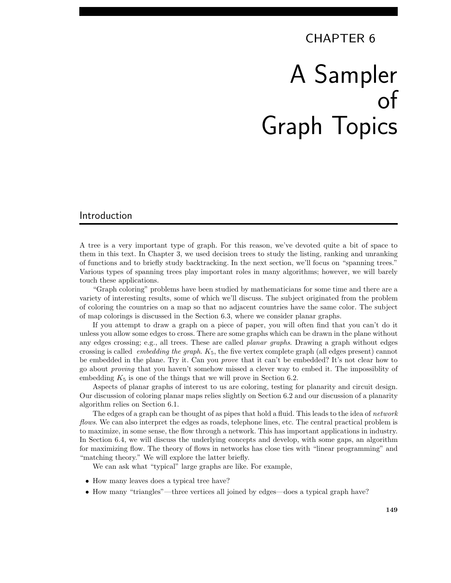## CHAPTER 6

# A Sampler of Graph Topics

## Introduction

A tree is a very important type of graph. For this reason, we've devoted quite a bit of space to them in this text. In Chapter 3, we used decision trees to study the listing, ranking and unranking of functions and to briefly study backtracking. In the next section, we'll focus on "spanning trees." Various types of spanning trees play important roles in many algorithms; however, we will barely touch these applications.

"Graph coloring" problems have been studied by mathematicians for some time and there are a variety of interesting results, some of which we'll discuss. The subject originated from the problem of coloring the countries on a map so that no adjacent countries have the same color. The subject of map colorings is discussed in the Section 6.3, where we consider planar graphs.

If you attempt to draw a graph on a piece of paper, you will often find that you can't do it unless you allow some edges to cross. There are some graphs which can be drawn in the plane without any edges crossing; e.g., all trees. These are called *planar graphs*. Drawing a graph without edges crossing is called *embedding the graph.*  $K_5$ , the five vertex complete graph (all edges present) cannot be embedded in the plane. Try it. Can you prove that it can't be embedded? It's not clear how to go about proving that you haven't somehow missed a clever way to embed it. The impossiblity of embedding  $K_5$  is one of the things that we will prove in Section 6.2.

Aspects of planar graphs of interest to us are coloring, testing for planarity and circuit design. Our discussion of coloring planar maps relies slightly on Section 6.2 and our discussion of a planarity algorithm relies on Section 6.1.

The edges of a graph can be thought of as pipes that hold a fluid. This leads to the idea of network flows. We can also interpret the edges as roads, telephone lines, etc. The central practical problem is to maximize, in some sense, the flow through a network. This has important applications in industry. In Section 6.4, we will discuss the underlying concepts and develop, with some gaps, an algorithm for maximizing flow. The theory of flows in networks has close ties with "linear programming" and "matching theory." We will explore the latter briefly.

We can ask what "typical" large graphs are like. For example,

- How many leaves does a typical tree have?
- How many "triangles"—three vertices all joined by edges—does a typical graph have?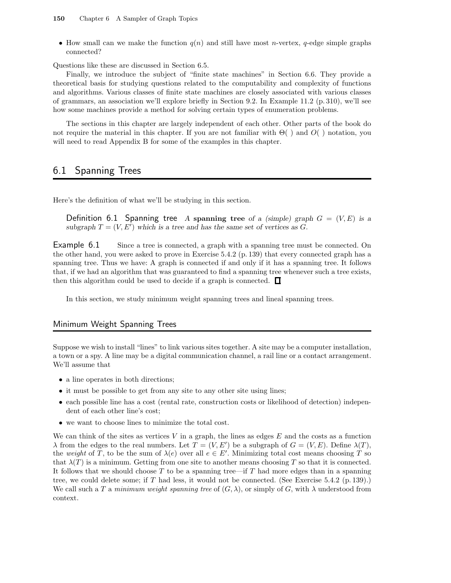• How small can we make the function  $q(n)$  and still have most *n*-vertex, *q*-edge simple graphs connected?

Questions like these are discussed in Section 6.5.

Finally, we introduce the subject of "finite state machines" in Section 6.6. They provide a theoretical basis for studying questions related to the computability and complexity of functions and algorithms. Various classes of finite state machines are closely associated with various classes of grammars, an association we'll explore briefly in Section 9.2. In Example 11.2 (p. 310), we'll see how some machines provide a method for solving certain types of enumeration problems.

The sections in this chapter are largely independent of each other. Other parts of the book do not require the material in this chapter. If you are not familiar with  $\Theta$ () and  $O($ ) notation, you will need to read Appendix B for some of the examples in this chapter.

## 6.1 Spanning Trees

Here's the definition of what we'll be studying in this section.

Definition 6.1 Spanning tree A spanning tree of a (simple) graph  $G = (V, E)$  is a subgraph  $T = (V, E')$  which is a tree and has the same set of vertices as G.

Example 6.1 Since a tree is connected, a graph with a spanning tree must be connected. On the other hand, you were asked to prove in Exercise 5.4.2 (p. 139) that every connected graph has a spanning tree. Thus we have: A graph is connected if and only if it has a spanning tree. It follows that, if we had an algorithm that was guaranteed to find a spanning tree whenever such a tree exists, then this algorithm could be used to decide if a graph is connected.  $\Box$ 

In this section, we study minimum weight spanning trees and lineal spanning trees.

#### Minimum Weight Spanning Trees

Suppose we wish to install "lines" to link various sites together. A site may be a computer installation, a town or a spy. A line may be a digital communication channel, a rail line or a contact arrangement. We'll assume that

- a line operates in both directions;
- it must be possible to get from any site to any other site using lines;
- each possible line has a cost (rental rate, construction costs or likelihood of detection) independent of each other line's cost;
- we want to choose lines to minimize the total cost.

We can think of the sites as vertices V in a graph, the lines as edges  $E$  and the costs as a function  $\lambda$  from the edges to the real numbers. Let  $T = (V, E')$  be a subgraph of  $G = (V, E)$ . Define  $\lambda(T)$ , the weight of T, to be the sum of  $\lambda(e)$  over all  $e \in E'$ . Minimizing total cost means choosing T so that  $\lambda(T)$  is a minimum. Getting from one site to another means choosing T so that it is connected. It follows that we should choose  $T$  to be a spanning tree—if  $T$  had more edges than in a spanning tree, we could delete some; if T had less, it would not be connected. (See Exercise 5.4.2 (p. 139).) We call such a T a minimum weight spanning tree of  $(G, \lambda)$ , or simply of G, with  $\lambda$  understood from context.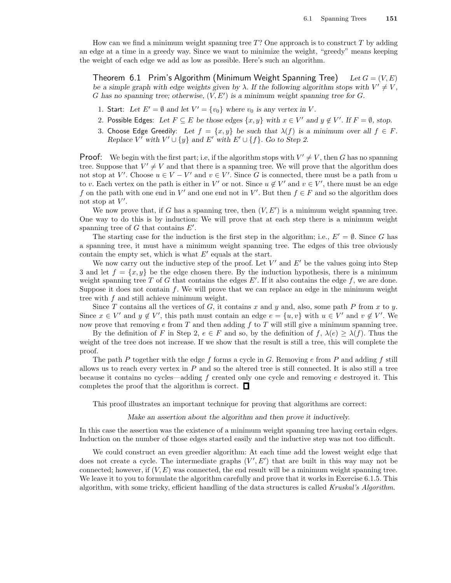How can we find a minimum weight spanning tree  $T$ ? One approach is to construct  $T$  by adding an edge at a time in a greedy way. Since we want to minimize the weight, "greedy" means keeping the weight of each edge we add as low as possible. Here's such an algorithm.

Theorem 6.1 Prim's Algorithm (Minimum Weight Spanning Tree) Let  $G = (V, E)$ be a simple graph with edge weights given by  $\lambda$ . If the following algorithm stops with  $V' \neq V$ ,  $G$  has no spanning tree; otherwise,  $(V, E')$  is a minimum weight spanning tree for  $G$ .

- 1. Start: Let  $E' = \emptyset$  and let  $V' = \{v_0\}$  where  $v_0$  is any vertex in V.
- 2. Possible Edges: Let  $F \subseteq E$  be those edges  $\{x, y\}$  with  $x \in V'$  and  $y \notin V'$ . If  $F = \emptyset$ , stop.
- 3. Choose Edge Greedily: Let  $f = \{x, y\}$  be such that  $\lambda(f)$  is a minimum over all  $f \in F$ . Replace V' with  $V' \cup \{y\}$  and E' with  $E' \cup \{f\}$ . Go to Step 2.

**Proof:** We begin with the first part; i.e, if the algorithm stops with  $V' \neq V$ , then G has no spanning tree. Suppose that  $V' \neq V$  and that there is a spanning tree. We will prove that the algorithm does not stop at V'. Choose  $u \in V - V'$  and  $v \in V'$ . Since G is connected, there must be a path from u to v. Each vertex on the path is either in V' or not. Since  $u \notin V'$  and  $v \in V'$ , there must be an edge f on the path with one end in V' and one end not in V'. But then  $f \in F$  and so the algorithm does not stop at  $V'$ .

We now prove that, if G has a spanning tree, then  $(V, E')$  is a minimum weight spanning tree. One way to do this is by induction: We will prove that at each step there is a minimum weight spanning tree of  $G$  that contains  $E'$ .

The starting case for the induction is the first step in the algorithm; i.e.,  $E' = \emptyset$ . Since G has a spanning tree, it must have a minimum weight spanning tree. The edges of this tree obviously contain the empty set, which is what  $E'$  equals at the start.

We now carry out the inductive step of the proof. Let  $V'$  and  $E'$  be the values going into Step 3 and let  $f = \{x, y\}$  be the edge chosen there. By the induction hypothesis, there is a minimum weight spanning tree  $T$  of  $G$  that contains the edges  $E'$ . If it also contains the edge  $f$ , we are done. Suppose it does not contain  $f$ . We will prove that we can replace an edge in the minimum weight tree with f and still achieve minimum weight.

Since T contains all the vertices of G, it contains x and y and, also, some path P from x to y. Since  $x \in V'$  and  $y \notin V'$ , this path must contain an edge  $e = \{u, v\}$  with  $u \in V'$  and  $v \notin V'$ . We now prove that removing  $e$  from  $T$  and then adding  $f$  to  $T$  will still give a minimum spanning tree.

By the definition of F in Step 2,  $e \in F$  and so, by the definition of  $f, \lambda(e) > \lambda(f)$ . Thus the weight of the tree does not increase. If we show that the result is still a tree, this will complete the proof.

The path P together with the edge f forms a cycle in G. Removing  $e$  from P and adding f still allows us to reach every vertex in  $P$  and so the altered tree is still connected. It is also still a tree because it contains no cycles—adding f created only one cycle and removing  $e$  destroyed it. This completes the proof that the algorithm is correct.  $\Box$ 

This proof illustrates an important technique for proving that algorithms are correct:

#### Make an assertion about the algorithm and then prove it inductively.

In this case the assertion was the existence of a minimum weight spanning tree having certain edges. Induction on the number of those edges started easily and the inductive step was not too difficult.

We could construct an even greedier algorithm: At each time add the lowest weight edge that does not create a cycle. The intermediate graphs  $(V', E')$  that are built in this way may not be connected; however, if  $(V, E)$  was connected, the end result will be a minimum weight spanning tree. We leave it to you to formulate the algorithm carefully and prove that it works in Exercise 6.1.5. This algorithm, with some tricky, efficient handling of the data structures is called Kruskal's Algorithm.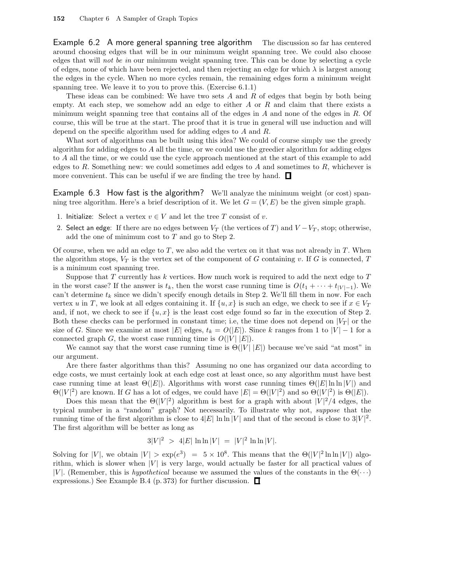Example 6.2 A more general spanning tree algorithm The discussion so far has centered around choosing edges that will be in our minimum weight spanning tree. We could also choose edges that will not be in our minimum weight spanning tree. This can be done by selecting a cycle of edges, none of which have been rejected, and then rejecting an edge for which  $\lambda$  is largest among the edges in the cycle. When no more cycles remain, the remaining edges form a minimum weight spanning tree. We leave it to you to prove this. (Exercise 6.1.1)

These ideas can be combined: We have two sets  $A$  and  $R$  of edges that begin by both being empty. At each step, we somehow add an edge to either  $A$  or  $R$  and claim that there exists a minimum weight spanning tree that contains all of the edges in A and none of the edges in R. Of course, this will be true at the start. The proof that it is true in general will use induction and will depend on the specific algorithm used for adding edges to A and R.

What sort of algorithms can be built using this idea? We could of course simply use the greedy algorithm for adding edges to A all the time, or we could use the greedier algorithm for adding edges to A all the time, or we could use the cycle approach mentioned at the start of this example to add edges to R. Something new: we could sometimes add edges to A and sometimes to  $R$ , whichever is more convenient. This can be useful if we are finding the tree by hand.  $\Box$ 

Example 6.3 How fast is the algorithm? We'll analyze the minimum weight (or cost) spanning tree algorithm. Here's a brief description of it. We let  $G = (V, E)$  be the given simple graph.

- 1. Initialize: Select a vertex  $v \in V$  and let the tree T consist of v.
- 2. Select an edge: If there are no edges between  $V_T$  (the vertices of T) and  $V V_T$ , stop; otherwise, add the one of minimum cost to  $T$  and go to Step 2.

Of course, when we add an edge to  $T$ , we also add the vertex on it that was not already in  $T$ . When the algorithm stops,  $V_T$  is the vertex set of the component of G containing v. If G is connected, T is a minimum cost spanning tree.

Suppose that  $T$  currently has k vertices. How much work is required to add the next edge to  $T$ in the worst case? If the answer is  $t_k$ , then the worst case running time is  $O(t_1 + \cdots + t_{|V|-1})$ . We can't determine  $t_k$  since we didn't specify enough details in Step 2. We'll fill them in now. For each vertex u in T, we look at all edges containing it. If  $\{u, x\}$  is such an edge, we check to see if  $x \in V_T$ and, if not, we check to see if  $\{u, x\}$  is the least cost edge found so far in the execution of Step 2. Both these checks can be performed in constant time; i.e, the time does not depend on  $|V_T|$  or the size of G. Since we examine at most  $|E|$  edges,  $t_k = O(|E|)$ . Since k ranges from 1 to  $|V| - 1$  for a connected graph G, the worst case running time is  $O(|V| |E|)$ .

We cannot say that the worst case running time is  $\Theta(|V| |E|)$  because we've said "at most" in our argument.

Are there faster algorithms than this? Assuming no one has organized our data according to edge costs, we must certainly look at each edge cost at least once, so any algorithm must have best case running time at least  $\Theta(|E|)$ . Algorithms with worst case running times  $\Theta(|E| \ln \ln |V|)$  and  $\Theta(|V|^2)$  are known. If G has a lot of edges, we could have  $|E| = \Theta(|V|^2)$  and so  $\Theta(|V|^2)$  is  $\Theta(|E|)$ .

Does this mean that the  $\Theta(|V|^2)$  algorithm is best for a graph with about  $|V|^2/4$  edges, the typical number in a "random" graph? Not necessarily. To illustrate why not, suppose that the running time of the first algorithm is close to  $4|E| \ln \ln |V|$  and that of the second is close to  $3|V|^2$ . The first algorithm will be better as long as

$$
3|V|^2 \ > \ 4|E| \, \ln \ln |V| \ = \ |V|^2 \, \ln \ln |V|.
$$

Solving for |V|, we obtain  $|V| > \exp(e^3) = 5 \times 10^8$ . This means that the  $\Theta(|V|^2 \ln \ln |V|)$  algorithm, which is slower when  $|V|$  is very large, would actually be faster for all practical values of |V|. (Remember, this is *hypothetical* because we assumed the values of the constants in the  $\Theta(\cdot \cdot \cdot)$ expressions.) See Example B.4 (p. 373) for further discussion.  $\Box$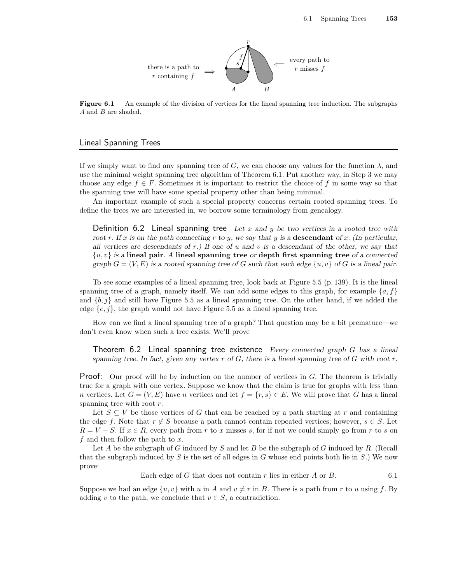

Figure 6.1 An example of the division of vertices for the lineal spanning tree induction. The subgraphs A and B are shaded.

#### Lineal Spanning Trees

If we simply want to find any spanning tree of G, we can choose any values for the function  $\lambda$ , and use the minimal weight spanning tree algorithm of Theorem 6.1. Put another way, in Step 3 we may choose any edge  $f \in F$ . Sometimes it is important to restrict the choice of f in some way so that the spanning tree will have some special property other than being minimal.

An important example of such a special property concerns certain rooted spanning trees. To define the trees we are interested in, we borrow some terminology from genealogy.

Definition 6.2 Lineal spanning tree Let x and y be two vertices in a rooted tree with root r. If x is on the path connecting r to y, we say that y is a descendant of x. (In particular, all vertices are descendants of r.) If one of u and v is a descendant of the other, we say that  $\{u, v\}$  is a lineal pair. A lineal spanning tree or depth first spanning tree of a connected graph  $G = (V, E)$  is a rooted spanning tree of G such that each edge  $\{u, v\}$  of G is a lineal pair.

To see some examples of a lineal spanning tree, look back at Figure 5.5 (p. 139). It is the lineal spanning tree of a graph, namely itself. We can add some edges to this graph, for example  $\{a, f\}$ and  $\{b, j\}$  and still have Figure 5.5 as a lineal spanning tree. On the other hand, if we added the edge  ${e, j}$ , the graph would not have Figure 5.5 as a lineal spanning tree.

How can we find a lineal spanning tree of a graph? That question may be a bit premature—we don't even know when such a tree exists. We'll prove

Theorem 6.2 Lineal spanning tree existence Every connected graph G has a lineal spanning tree. In fact, given any vertex  $r$  of  $G$ , there is a lineal spanning tree of  $G$  with root  $r$ .

**Proof:** Our proof will be by induction on the number of vertices in  $G$ . The theorem is trivially true for a graph with one vertex. Suppose we know that the claim is true for graphs with less than n vertices. Let  $G = (V, E)$  have n vertices and let  $f = \{r, s\} \in E$ . We will prove that G has a lineal spanning tree with root r.

Let  $S \subseteq V$  be those vertices of G that can be reached by a path starting at r and containing the edge f. Note that  $r \notin S$  because a path cannot contain repeated vertices; however,  $s \in S$ . Let  $R = V - S$ . If  $x \in R$ , every path from r to x misses s, for if not we could simply go from r to s on f and then follow the path to  $x$ .

Let A be the subgraph of G induced by S and let B be the subgraph of G induced by R. (Recall that the subgraph induced by  $S$  is the set of all edges in  $G$  whose end points both lie in  $S$ .) We now prove:

Each edge of G that does not contain r lies in either A or B.  $6.1$ 

Suppose we had an edge  $\{u, v\}$  with u in A and  $v \neq r$  in B. There is a path from r to u using f. By adding v to the path, we conclude that  $v \in S$ , a contradiction.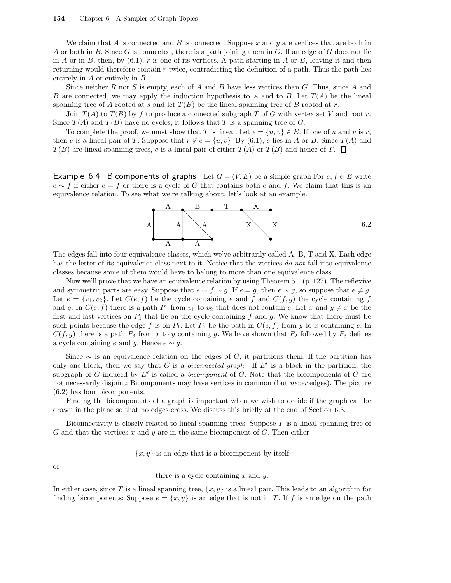We claim that A is connected and B is connected. Suppose x and y are vertices that are both in A or both in B. Since  $G$  is connected, there is a path joining them in  $G$ . If an edge of  $G$  does not lie in A or in B, then, by  $(6.1)$ , r is one of its vertices. A path starting in A or B, leaving it and then returning would therefore contain  $r$  twice, contradicting the definition of a path. Thus the path lies entirely in A or entirely in B.

Since neither R nor S is empty, each of A and B have less vertices than G. Thus, since A and B are connected, we may apply the induction hypothesis to A and to B. Let  $T(A)$  be the lineal spanning tree of A rooted at s and let  $T(B)$  be the lineal spanning tree of B rooted at r.

Join  $T(A)$  to  $T(B)$  by f to produce a connected subgraph T of G with vertex set V and root r. Since  $T(A)$  and  $T(B)$  have no cycles, it follows that T is a spanning tree of G.

To complete the proof, we must show that T is lineal. Let  $e = \{u, v\} \in E$ . If one of u and v is r, then e is a lineal pair of T. Suppose that  $r \notin e = \{u, v\}$ . By (6.1), e lies in A or B. Since  $T(A)$  and  $T(B)$  are lineal spanning trees, e is a lineal pair of either  $T(A)$  or  $T(B)$  and hence of T.  $\Box$ 

Example 6.4 Bicomponents of graphs Let  $G = (V, E)$  be a simple graph For  $e, f \in E$  write  $e \sim f$  if either  $e = f$  or there is a cycle of G that contains both e and f. We claim that this is an equivalence relation. To see what we're talking about, let's look at an example.



The edges fall into four equivalence classes, which we've arbitrarily called A, B, T and X. Each edge has the letter of its equivalence class next to it. Notice that the vertices do not fall into equivalence classes because some of them would have to belong to more than one equivalence class.

Now we'll prove that we have an equivalence relation by using Theorem 5.1 (p. 127). The reflexive and symmetric parts are easy. Suppose that  $e \sim f \sim g$ . If  $e = g$ , then  $e \sim g$ , so suppose that  $e \neq g$ . Let  $e = \{v_1, v_2\}$ . Let  $C(e, f)$  be the cycle containing e and f and  $C(f, g)$  the cycle containing f and g. In  $C(e, f)$  there is a path  $P_1$  from  $v_1$  to  $v_2$  that does not contain e. Let x and  $y \neq x$  be the first and last vertices on  $P_1$  that lie on the cycle containing f and g. We know that there must be such points because the edge f is on  $P_1$ . Let  $P_2$  be the path in  $C(e, f)$  from y to x containing e. In  $C(f, g)$  there is a path  $P_3$  from x to y containing g. We have shown that  $P_2$  followed by  $P_3$  defines a cycle containing e and g. Hence  $e \sim g$ .

Since  $\sim$  is an equivalence relation on the edges of G, it partitions them. If the partition has only one block, then we say that  $G$  is a *biconnected graph*. If  $E'$  is a block in the partition, the subgraph of G induced by  $E'$  is called a *bicomponent* of G. Note that the bicomponents of G are not necessarily disjoint: Bicomponents may have vertices in common (but *never* edges). The picture (6.2) has four bicomponents.

Finding the bicomponents of a graph is important when we wish to decide if the graph can be drawn in the plane so that no edges cross. We discuss this briefly at the end of Section 6.3.

Biconnectivity is closely related to lineal spanning trees. Suppose  $T$  is a lineal spanning tree of  $G$  and that the vertices  $x$  and  $y$  are in the same bicomponent of  $G$ . Then either

 ${x, y}$  is an edge that is a bicomponent by itself

or

there is a cycle containing  $x$  and  $y$ .

In either case, since T is a lineal spanning tree,  $\{x, y\}$  is a lineal pair. This leads to an algorithm for finding bicomponents: Suppose  $e = \{x, y\}$  is an edge that is not in T. If f is an edge on the path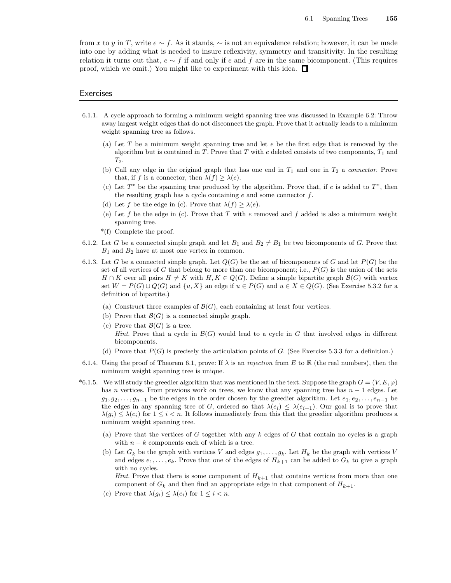from x to y in T, write  $e \sim f$ . As it stands,  $\sim$  is not an equivalence relation; however, it can be made into one by adding what is needed to insure reflexivity, symmetry and transitivity. In the resulting relation it turns out that,  $e \sim f$  if and only if e and f are in the same bicomponent. (This requires proof, which we omit.) You might like to experiment with this idea.  $\Box$ 

#### **Exercises**

- 6.1.1. A cycle approach to forming a minimum weight spanning tree was discussed in Example 6.2: Throw away largest weight edges that do not disconnect the graph. Prove that it actually leads to a minimum weight spanning tree as follows.
	- (a) Let T be a minimum weight spanning tree and let  $e$  be the first edge that is removed by the algorithm but is contained in T. Prove that T with e deleted consists of two components,  $T_1$  and  $T_2$ .
	- (b) Call any edge in the original graph that has one end in  $T_1$  and one in  $T_2$  a connector. Prove that, if f is a connector, then  $\lambda(f) \geq \lambda(e)$ .
	- (c) Let  $T^*$  be the spanning tree produced by the algorithm. Prove that, if e is added to  $T^*$ , then the resulting graph has a cycle containing  $e$  and some connector  $f$ .
	- (d) Let f be the edge in (c). Prove that  $\lambda(f) \geq \lambda(e)$ .
	- (e) Let  $f$  be the edge in (c). Prove that  $T$  with  $e$  removed and  $f$  added is also a minimum weight spanning tree.
	- \*(f) Complete the proof.
- 6.1.2. Let G be a connected simple graph and let  $B_1$  and  $B_2 \neq B_1$  be two bicomponents of G. Prove that  $B_1$  and  $B_2$  have at most one vertex in common.
- 6.1.3. Let G be a connected simple graph. Let  $Q(G)$  be the set of bicomponents of G and let  $P(G)$  be the set of all vertices of G that belong to more than one bicomponent; i.e.,  $P(G)$  is the union of the sets  $H \cap K$  over all pairs  $H \neq K$  with  $H, K \in Q(G)$ . Define a simple bipartite graph  $\mathcal{B}(G)$  with vertex set  $W = P(G) \cup Q(G)$  and  $\{u, X\}$  an edge if  $u \in P(G)$  and  $u \in X \in Q(G)$ . (See Exercise 5.3.2 for a definition of bipartite.)
	- (a) Construct three examples of  $\mathcal{B}(G)$ , each containing at least four vertices.
	- (b) Prove that  $\mathcal{B}(G)$  is a connected simple graph.
	- (c) Prove that  $\mathcal{B}(G)$  is a tree. Hint. Prove that a cycle in  $\mathcal{B}(G)$  would lead to a cycle in G that involved edges in different bicomponents.
	- (d) Prove that  $P(G)$  is precisely the articulation points of G. (See Exercise 5.3.3 for a definition.)
- 6.1.4. Using the proof of Theorem 6.1, prove: If  $\lambda$  is an *injection* from E to R (the real numbers), then the minimum weight spanning tree is unique.
- \*6.1.5. We will study the greedier algorithm that was mentioned in the text. Suppose the graph  $G = (V, E, \varphi)$ has n vertices. From previous work on trees, we know that any spanning tree has  $n - 1$  edges. Let  $g_1, g_2, \ldots, g_{n-1}$  be the edges in the order chosen by the greedier algorithm. Let  $e_1, e_2, \ldots, e_{n-1}$  be the edges in any spanning tree of G, ordered so that  $\lambda(e_i) \leq \lambda(e_{i+1})$ . Our goal is to prove that  $\lambda(g_i) \leq \lambda(e_i)$  for  $1 \leq i < n$ . It follows immediately from this that the greedier algorithm produces a minimum weight spanning tree.
	- (a) Prove that the vertices of G together with any k edges of G that contain no cycles is a graph with  $n - k$  components each of which is a tree.
	- (b) Let  $G_k$  be the graph with vertices V and edges  $g_1, \ldots, g_k$ . Let  $H_k$  be the graph with vertices V and edges  $e_1, \ldots, e_k$ . Prove that one of the edges of  $H_{k+1}$  can be added to  $G_k$  to give a graph with no cycles.

*Hint*. Prove that there is some component of  $H_{k+1}$  that contains vertices from more than one component of  $G_k$  and then find an appropriate edge in that component of  $H_{k+1}$ .

(c) Prove that  $\lambda(g_i) \leq \lambda(e_i)$  for  $1 \leq i < n$ .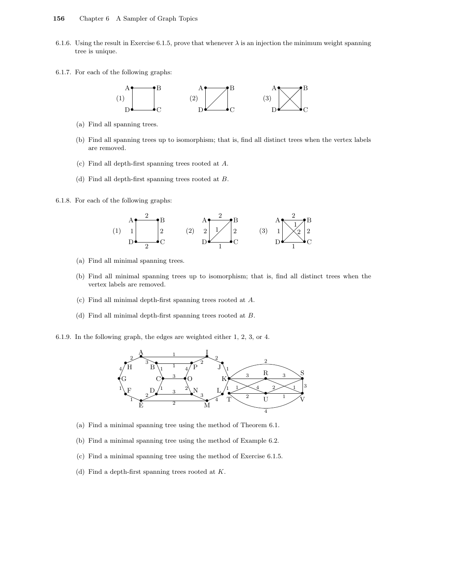- 6.1.6. Using the result in Exercise 6.1.5, prove that whenever  $\lambda$  is an injection the minimum weight spanning tree is unique.
- 6.1.7. For each of the following graphs:



- (a) Find all spanning trees.
- (b) Find all spanning trees up to isomorphism; that is, find all distinct trees when the vertex labels are removed.
- (c) Find all depth-first spanning trees rooted at A.
- (d) Find all depth-first spanning trees rooted at B.
- 6.1.8. For each of the following graphs:



- (a) Find all minimal spanning trees.
- (b) Find all minimal spanning trees up to isomorphism; that is, find all distinct trees when the vertex labels are removed.
- (c) Find all minimal depth-first spanning trees rooted at A.
- (d) Find all minimal depth-first spanning trees rooted at B.
- 6.1.9. In the following graph, the edges are weighted either 1, 2, 3, or 4.



- (a) Find a minimal spanning tree using the method of Theorem 6.1.
- (b) Find a minimal spanning tree using the method of Example 6.2.
- (c) Find a minimal spanning tree using the method of Exercise 6.1.5.
- (d) Find a depth-first spanning trees rooted at K.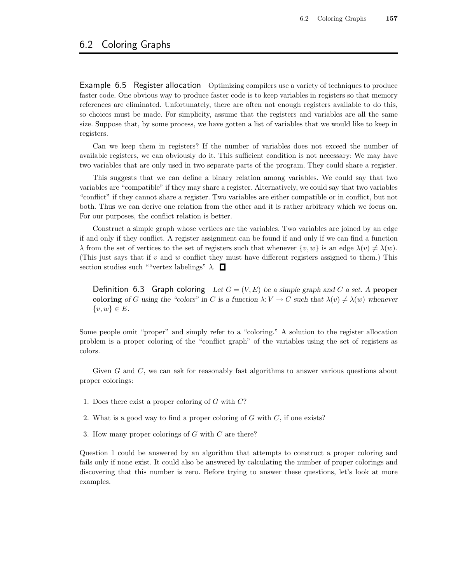Example 6.5 Register allocation Optimizing compilers use a variety of techniques to produce faster code. One obvious way to produce faster code is to keep variables in registers so that memory references are eliminated. Unfortunately, there are often not enough registers available to do this, so choices must be made. For simplicity, assume that the registers and variables are all the same size. Suppose that, by some process, we have gotten a list of variables that we would like to keep in registers.

Can we keep them in registers? If the number of variables does not exceed the number of available registers, we can obviously do it. This sufficient condition is not necessary: We may have two variables that are only used in two separate parts of the program. They could share a register.

This suggests that we can define a binary relation among variables. We could say that two variables are "compatible" if they may share a register. Alternatively, we could say that two variables "conflict" if they cannot share a register. Two variables are either compatible or in conflict, but not both. Thus we can derive one relation from the other and it is rather arbitrary which we focus on. For our purposes, the conflict relation is better.

Construct a simple graph whose vertices are the variables. Two variables are joined by an edge if and only if they conflict. A register assignment can be found if and only if we can find a function  $\lambda$  from the set of vertices to the set of registers such that whenever  $\{v, w\}$  is an edge  $\lambda(v) \neq \lambda(w)$ . (This just says that if v and w conflict they must have different registers assigned to them.) This section studies such ""vertex labelings"  $\lambda$ .

Definition 6.3 Graph coloring Let  $G = (V, E)$  be a simple graph and C a set. A proper coloring of G using the "colors" in C is a function  $\lambda: V \to C$  such that  $\lambda(v) \neq \lambda(w)$  whenever  $\{v, w\} \in E.$ 

Some people omit "proper" and simply refer to a "coloring." A solution to the register allocation problem is a proper coloring of the "conflict graph" of the variables using the set of registers as colors.

Given G and C, we can ask for reasonably fast algorithms to answer various questions about proper colorings:

- 1. Does there exist a proper coloring of  $G$  with  $C$ ?
- 2. What is a good way to find a proper coloring of  $G$  with  $C$ , if one exists?
- 3. How many proper colorings of G with C are there?

Question 1 could be answered by an algorithm that attempts to construct a proper coloring and fails only if none exist. It could also be answered by calculating the number of proper colorings and discovering that this number is zero. Before trying to answer these questions, let's look at more examples.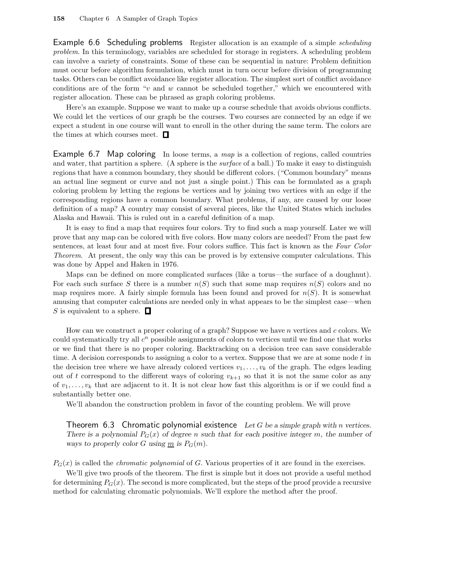Example 6.6 Scheduling problems Register allocation is an example of a simple *scheduling* problem. In this terminology, variables are scheduled for storage in registers. A scheduling problem can involve a variety of constraints. Some of these can be sequential in nature: Problem definition must occur before algorithm formulation, which must in turn occur before division of programming tasks. Others can be conflict avoidance like register allocation. The simplest sort of conflict avoidance conditions are of the form " $v$  and  $w$  cannot be scheduled together," which we encountered with register allocation. These can be phrased as graph coloring problems.

Here's an example. Suppose we want to make up a course schedule that avoids obvious conflicts. We could let the vertices of our graph be the courses. Two courses are connected by an edge if we expect a student in one course will want to enroll in the other during the same term. The colors are the times at which courses meet.  $\Box$ 

Example 6.7 Map coloring In loose terms, a map is a collection of regions, called countries and water, that partition a sphere. (A sphere is the *surface* of a ball.) To make it easy to distinguish regions that have a common boundary, they should be different colors. ("Common boundary" means an actual line segment or curve and not just a single point.) This can be formulated as a graph coloring problem by letting the regions be vertices and by joining two vertices with an edge if the corresponding regions have a common boundary. What problems, if any, are caused by our loose definition of a map? A country may consist of several pieces, like the United States which includes Alaska and Hawaii. This is ruled out in a careful definition of a map.

It is easy to find a map that requires four colors. Try to find such a map yourself. Later we will prove that any map can be colored with five colors. How many colors are needed? From the past few sentences, at least four and at most five. Four colors suffice. This fact is known as the Four Color Theorem. At present, the only way this can be proved is by extensive computer calculations. This was done by Appel and Haken in 1976.

Maps can be defined on more complicated surfaces (like a torus—the surface of a doughnut). For each such surface S there is a number  $n(S)$  such that some map requires  $n(S)$  colors and no map requires more. A fairly simple formula has been found and proved for  $n(S)$ . It is somewhat amusing that computer calculations are needed only in what appears to be the simplest case—when S is equivalent to a sphere.  $\Box$ 

How can we construct a proper coloring of a graph? Suppose we have  $n$  vertices and  $c$  colors. We could systematically try all  $c<sup>n</sup>$  possible assignments of colors to vertices until we find one that works or we find that there is no proper coloring. Backtracking on a decision tree can save considerable time. A decision corresponds to assigning a color to a vertex. Suppose that we are at some node  $t$  in the decision tree where we have already colored vertices  $v_1, \ldots, v_k$  of the graph. The edges leading out of t correspond to the different ways of coloring  $v_{k+1}$  so that it is not the same color as any of  $v_1, \ldots, v_k$  that are adjacent to it. It is not clear how fast this algorithm is or if we could find a substantially better one.

We'll abandon the construction problem in favor of the counting problem. We will prove

Theorem 6.3 Chromatic polynomial existence Let G be a simple graph with n vertices. There is a polynomial  $P_G(x)$  of degree n such that for each positive integer m, the number of ways to properly color G using  $\underline{m}$  is  $P_G(m)$ .

 $P_G(x)$  is called the *chromatic polynomial* of G. Various properties of it are found in the exercises.

We'll give two proofs of the theorem. The first is simple but it does not provide a useful method for determining  $P_G(x)$ . The second is more complicated, but the steps of the proof provide a recursive method for calculating chromatic polynomials. We'll explore the method after the proof.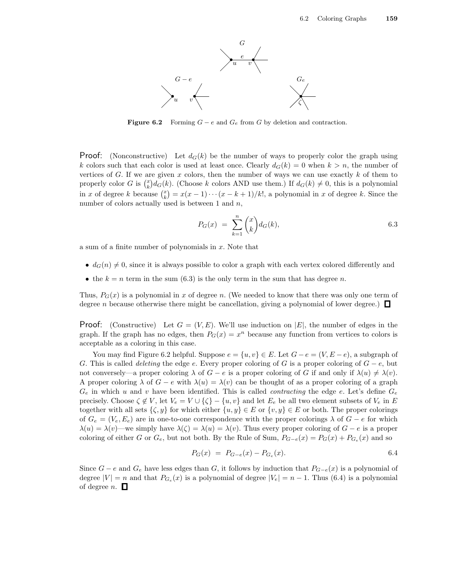

Figure 6.2 Forming  $G - e$  and  $G_e$  from G by deletion and contraction.

**Proof:** (Nonconstructive) Let  $d_G(k)$  be the number of ways to properly color the graph using k colors such that each color is used at least once. Clearly  $d_G(k) = 0$  when  $k > n$ , the number of vertices of G. If we are given x colors, then the number of ways we can use exactly  $k$  of them to properly color G is  $\binom{x}{k}d_G(k)$ . (Choose k colors AND use them.) If  $d_G(k) \neq 0$ , this is a polynomial in x of degree k because  $\binom{x}{k} = x(x-1)\cdots(x-k+1)/k!$ , a polynomial in x of degree k. Since the number of colors actually used is between 1 and  $n$ ,

$$
P_G(x) = \sum_{k=1}^{n} {x \choose k} d_G(k), \qquad (6.3)
$$

a sum of a finite number of polynomials in  $x$ . Note that

- $d_G(n) \neq 0$ , since it is always possible to color a graph with each vertex colored differently and
- the  $k = n$  term in the sum (6.3) is the only term in the sum that has degree n.

Thus,  $P_G(x)$  is a polynomial in x of degree n. (We needed to know that there was only one term of degree *n* because otherwise there might be cancellation, giving a polynomial of lower degree.)  $\Box$ 

**Proof:** (Constructive) Let  $G = (V, E)$ . We'll use induction on  $|E|$ , the number of edges in the graph. If the graph has no edges, then  $P_G(x) = x^n$  because any function from vertices to colors is acceptable as a coloring in this case.

You may find Figure 6.2 helpful. Suppose  $e = \{u, v\} \in E$ . Let  $G - e = (V, E - e)$ , a subgraph of G. This is called *deleting* the edge e. Every proper coloring of G is a proper coloring of  $G - e$ , but not conversely—a proper coloring  $\lambda$  of  $G - e$  is a proper coloring of G if and only if  $\lambda(u) \neq \lambda(v)$ . A proper coloring  $\lambda$  of  $G - e$  with  $\lambda(u) = \lambda(v)$  can be thought of as a proper coloring of a graph  $G_e$  in which u and v have been identified. This is called *contracting* the edge e. Let's define  $G_e$ precisely. Choose  $\zeta \notin V$ , let  $V_e = V \cup {\zeta} - \{u, v\}$  and let  $E_e$  be all two element subsets of  $V_e$  in E together with all sets  $\{\zeta, y\}$  for which either  $\{u, y\} \in E$  or  $\{v, y\} \in E$  or both. The proper colorings of  $G_e = (V_e, E_e)$  are in one-to-one correspondence with the proper colorings  $\lambda$  of  $G - e$  for which  $\lambda(u) = \lambda(v)$ —we simply have  $\lambda(\zeta) = \lambda(u) = \lambda(v)$ . Thus every proper coloring of  $G - e$  is a proper coloring of either G or  $G_e$ , but not both. By the Rule of Sum,  $P_{G-e}(x) = P_G(x) + P_{G_e}(x)$  and so

$$
P_G(x) = P_{G-e}(x) - P_{G_e}(x). \tag{6.4}
$$

Since  $G - e$  and  $G_e$  have less edges than G, it follows by induction that  $P_{G-e}(x)$  is a polynomial of degree  $|V| = n$  and that  $P_{G_e}(x)$  is a polynomial of degree  $|V_e| = n - 1$ . Thus (6.4) is a polynomial of degree *n*.  $\Box$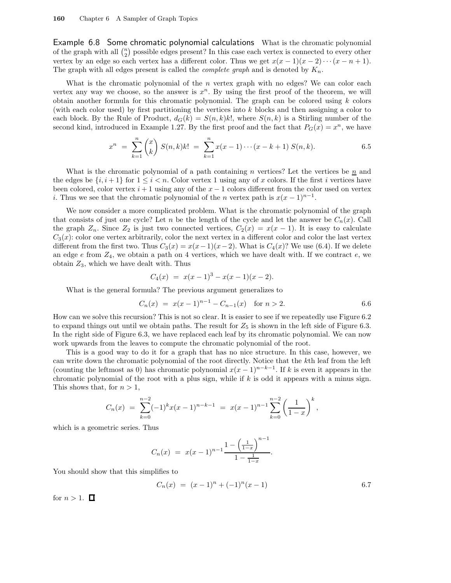Example 6.8 Some chromatic polynomial calculations What is the chromatic polynomial of the graph with all  $\binom{n}{2}$  possible edges present? In this case each vertex is connected to every other vertex by an edge so each vertex has a different color. Thus we get  $x(x - 1)(x - 2) \cdots (x - n + 1)$ . The graph with all edges present is called the *complete graph* and is denoted by  $K_n$ .

What is the chromatic polynomial of the *n* vertex graph with no edges? We can color each vertex any way we choose, so the answer is  $x^n$ . By using the first proof of the theorem, we will obtain another formula for this chromatic polynomial. The graph can be colored using  $k$  colors (with each color used) by first partitioning the vertices into k blocks and then assigning a color to each block. By the Rule of Product,  $d_G(k) = S(n, k)k!$ , where  $S(n, k)$  is a Stirling number of the second kind, introduced in Example 1.27. By the first proof and the fact that  $P_G(x) = x^n$ , we have

$$
x^{n} = \sum_{k=1}^{n} {x \choose k} S(n,k)k! = \sum_{k=1}^{n} x(x-1) \cdots (x-k+1) S(n,k).
$$
 6.5

What is the chromatic polynomial of a path containing n vertices? Let the vertices be n and the edges be  $\{i, i+1\}$  for  $1 \leq i < n$ . Color vertex 1 using any of x colors. If the first i vertices have been colored, color vertex  $i + 1$  using any of the  $x - 1$  colors different from the color used on vertex i. Thus we see that the chromatic polynomial of the n vertex path is  $x(x-1)^{n-1}$ .

We now consider a more complicated problem. What is the chromatic polynomial of the graph that consists of just one cycle? Let n be the length of the cycle and let the answer be  $C_n(x)$ . Call the graph  $Z_n$ . Since  $Z_2$  is just two connected vertices,  $C_2(x) = x(x - 1)$ . It is easy to calculate  $C_3(x)$ : color one vertex arbitrarily, color the next vertex in a different color and color the last vertex different from the first two. Thus  $C_3(x) = x(x-1)(x-2)$ . What is  $C_4(x)$ ? We use (6.4). If we delete an edge  $e$  from  $Z_4$ , we obtain a path on 4 vertices, which we have dealt with. If we contract  $e$ , we obtain  $Z_3$ , which we have dealt with. Thus

$$
C_4(x) = x(x-1)^3 - x(x-1)(x-2).
$$

What is the general formula? The previous argument generalizes to

$$
C_n(x) = x(x-1)^{n-1} - C_{n-1}(x) \quad \text{for } n > 2.
$$

How can we solve this recursion? This is not so clear. It is easier to see if we repeatedly use Figure 6.2 to expand things out until we obtain paths. The result for  $Z_5$  is shown in the left side of Figure 6.3. In the right side of Figure 6.3, we have replaced each leaf by its chromatic polynomial. We can now work upwards from the leaves to compute the chromatic polynomial of the root.

This is a good way to do it for a graph that has no nice structure. In this case, however, we can write down the chromatic polynomial of the root directly. Notice that the kth leaf from the left (counting the leftmost as 0) has chromatic polynomial  $x(x-1)^{n-k-1}$ . If k is even it appears in the chromatic polynomial of the root with a plus sign, while if  $k$  is odd it appears with a minus sign. This shows that, for  $n > 1$ ,

$$
C_n(x) = \sum_{k=0}^{n-2} (-1)^k x(x-1)^{n-k-1} = x(x-1)^{n-1} \sum_{k=0}^{n-2} \left(\frac{1}{1-x}\right)^k,
$$

which is a geometric series. Thus

$$
C_n(x) = x(x-1)^{n-1} \frac{1 - \left(\frac{1}{1-x}\right)^{n-1}}{1 - \frac{1}{1-x}}.
$$

You should show that this simplifies to

$$
C_n(x) = (x-1)^n + (-1)^n(x-1)
$$
6.7

for  $n > 1$ .  $\Box$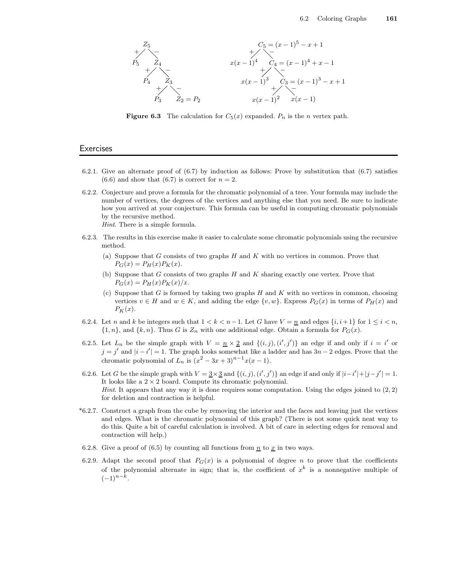

**Figure 6.3** The calculation for  $C_5(x)$  expanded.  $P_n$  is the *n* vertex path.

#### **Exercises**

- 6.2.1. Give an alternate proof of (6.7) by induction as follows: Prove by substitution that (6.7) satisfies  $(6.6)$  and show that  $(6.7)$  is correct for  $n = 2$ .
- 6.2.2. Conjecture and prove a formula for the chromatic polynomial of a tree. Your formula may include the number of vertices, the degrees of the vertices and anything else that you need. Be sure to indicate how you arrived at your conjecture. This formula can be useful in computing chromatic polynomials by the recursive method. Hint. There is a simple formula.
- 6.2.3. The results in this exercise make it easier to calculate some chromatic polynomials using the recursive method.
	- (a) Suppose that  $G$  consists of two graphs  $H$  and  $K$  with no vertices in common. Prove that  $P_G(x) = P_H(x)P_K(x)$ .
	- (b) Suppose that  $G$  consists of two graphs  $H$  and  $K$  sharing exactly one vertex. Prove that  $P_G(x) = P_H(x)P_K(x)/x.$
	- (c) Suppose that G is formed by taking two graphs  $H$  and  $K$  with no vertices in common, choosing vertices  $v \in H$  and  $w \in K$ , and adding the edge  $\{v, w\}$ . Express  $P_G(x)$  in terms of  $P_H(x)$  and  $P_K(x)$ .
- 6.2.4. Let n and k be integers such that  $1 < k < n-1$ . Let G have  $V = n$  and edges  $\{i, i+1\}$  for  $1 \le i < n$ ,  $\{1,n\}$ , and  $\{k,n\}$ . Thus G is  $Z_n$  with one additional edge. Obtain a formula for  $P_G(x)$ .
- 6.2.5. Let  $L_n$  be the simple graph with  $V = \underline{n} \times \underline{2}$  and  $\{(i,j),(i',j')\}$  an edge if and only if  $i = i'$  or  $j = j'$  and  $|i - i'| = 1$ . The graph looks somewhat like a ladder and has  $3n - 2$  edges. Prove that the chromatic polynomial of  $L_n$  is  $(x^2 - 3x + 3)^{n-1}x(x - 1)$ .
- 6.2.6. Let G be the simple graph with  $V = 3 \times 3$  and  $\{(i, j), (i', j')\}$  an edge if and only if  $|i i'| + |j j'| = 1$ . It looks like a  $2 \times 2$  board. Compute its chromatic polynomial. *Hint*. It appears that any way it is done requires some computation. Using the edges joined to  $(2, 2)$ for deletion and contraction is helpful.
- \*6.2.7. Construct a graph from the cube by removing the interior and the faces and leaving just the vertices and edges. What is the chromatic polynomial of this graph? (There is not some quick neat way to do this. Quite a bit of careful calculation is involved. A bit of care in selecting edges for removal and contraction will help.)
- 6.2.8. Give a proof of (6.5) by counting all functions from  $\underline{n}$  to  $\underline{x}$  in two ways.
- 6.2.9. Adapt the second proof that  $P_G(x)$  is a polynomial of degree n to prove that the coefficients of the polynomial alternate in sign; that is, the coefficient of  $x^k$  is a nonnegative multiple of  $(-1)^{n-k}.$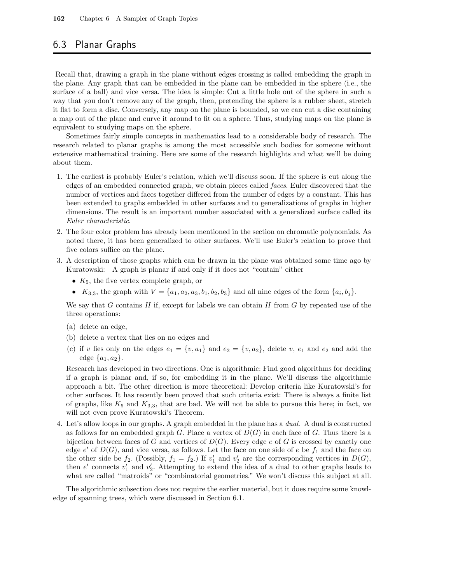## 6.3 Planar Graphs

Recall that, drawing a graph in the plane without edges crossing is called embedding the graph in the plane. Any graph that can be embedded in the plane can be embedded in the sphere (i.e., the surface of a ball) and vice versa. The idea is simple: Cut a little hole out of the sphere in such a way that you don't remove any of the graph, then, pretending the sphere is a rubber sheet, stretch it flat to form a disc. Conversely, any map on the plane is bounded, so we can cut a disc containing a map out of the plane and curve it around to fit on a sphere. Thus, studying maps on the plane is equivalent to studying maps on the sphere.

Sometimes fairly simple concepts in mathematics lead to a considerable body of research. The research related to planar graphs is among the most accessible such bodies for someone without extensive mathematical training. Here are some of the research highlights and what we'll be doing about them.

- 1. The earliest is probably Euler's relation, which we'll discuss soon. If the sphere is cut along the edges of an embedded connected graph, we obtain pieces called faces. Euler discovered that the number of vertices and faces together differed from the number of edges by a constant. This has been extended to graphs embedded in other surfaces and to generalizations of graphs in higher dimensions. The result is an important number associated with a generalized surface called its Euler characteristic.
- 2. The four color problem has already been mentioned in the section on chromatic polynomials. As noted there, it has been generalized to other surfaces. We'll use Euler's relation to prove that five colors suffice on the plane.
- 3. A description of those graphs which can be drawn in the plane was obtained some time ago by Kuratowski: A graph is planar if and only if it does not "contain" either
	- $K_5$ , the five vertex complete graph, or
	- $K_{3,3}$ , the graph with  $V = \{a_1, a_2, a_3, b_1, b_2, b_3\}$  and all nine edges of the form  $\{a_i, b_j\}$ .

We say that G contains  $H$  if, except for labels we can obtain  $H$  from  $G$  by repeated use of the three operations:

- (a) delete an edge,
- (b) delete a vertex that lies on no edges and
- (c) if v lies only on the edges  $e_1 = \{v, a_1\}$  and  $e_2 = \{v, a_2\}$ , delete v,  $e_1$  and  $e_2$  and add the edge  $\{a_1, a_2\}.$

Research has developed in two directions. One is algorithmic: Find good algorithms for deciding if a graph is planar and, if so, for embedding it in the plane. We'll discuss the algorithmic approach a bit. The other direction is more theoretical: Develop criteria like Kuratowski's for other surfaces. It has recently been proved that such criteria exist: There is always a finite list of graphs, like  $K_5$  and  $K_{3,3}$ , that are bad. We will not be able to pursue this here; in fact, we will not even prove Kuratowski's Theorem.

4. Let's allow loops in our graphs. A graph embedded in the plane has a dual. A dual is constructed as follows for an embedded graph  $G$ . Place a vertex of  $D(G)$  in each face of G. Thus there is a bijection between faces of G and vertices of  $D(G)$ . Every edge e of G is crossed by exactly one edge  $e'$  of  $D(G)$ , and vice versa, as follows. Let the face on one side of e be  $f_1$  and the face on the other side be  $f_2$ . (Possibly,  $f_1 = f_2$ .) If  $v'_1$  and  $v'_2$  are the corresponding vertices in  $D(G)$ , then  $e'$  connects  $v'_1$  and  $v'_2$ . Attempting to extend the idea of a dual to other graphs leads to what are called "matroids" or "combinatorial geometries." We won't discuss this subject at all.

The algorithmic subsection does not require the earlier material, but it does require some knowledge of spanning trees, which were discussed in Section 6.1.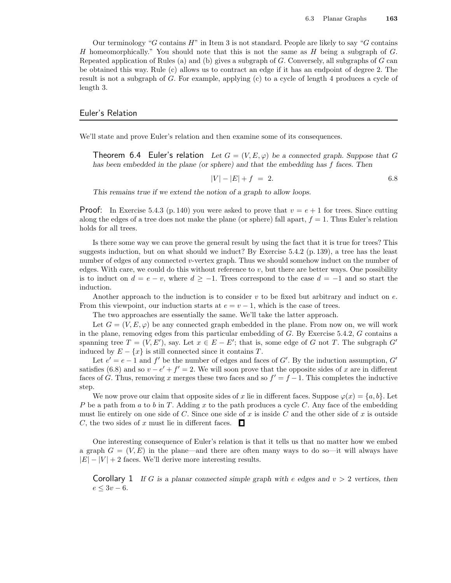Our terminology "G contains  $H$ " in Item 3 is not standard. People are likely to say "G contains" H homeomorphically." You should note that this is not the same as  $H$  being a subgraph of  $G$ . Repeated application of Rules (a) and (b) gives a subgraph of  $G$ . Conversely, all subgraphs of  $G$  can be obtained this way. Rule (c) allows us to contract an edge if it has an endpoint of degree 2. The result is not a subgraph of G. For example, applying (c) to a cycle of length 4 produces a cycle of length 3.

#### Euler's Relation

We'll state and prove Euler's relation and then examine some of its consequences.

Theorem 6.4 Euler's relation Let  $G = (V, E, \varphi)$  be a connected graph. Suppose that G has been embedded in the plane (or sphere) and that the embedding has f faces. Then

$$
|V| - |E| + f = 2. \t\t\t\t6.8
$$

This remains true if we extend the notion of a graph to allow loops.

**Proof:** In Exercise 5.4.3 (p. 140) you were asked to prove that  $v = e + 1$  for trees. Since cutting along the edges of a tree does not make the plane (or sphere) fall apart,  $f = 1$ . Thus Euler's relation holds for all trees.

Is there some way we can prove the general result by using the fact that it is true for trees? This suggests induction, but on what should we induct? By Exercise 5.4.2 (p. 139), a tree has the least number of edges of any connected v-vertex graph. Thus we should somehow induct on the number of edges. With care, we could do this without reference to  $v$ , but there are better ways. One possibility is to induct on  $d = e - v$ , where  $d \ge -1$ . Trees correspond to the case  $d = -1$  and so start the induction.

Another approach to the induction is to consider v to be fixed but arbitrary and induct on  $e$ . From this viewpoint, our induction starts at  $e = v - 1$ , which is the case of trees.

The two approaches are essentially the same. We'll take the latter approach.

Let  $G = (V, E, \varphi)$  be any connected graph embedded in the plane. From now on, we will work in the plane, removing edges from this particular embedding of  $G$ . By Exercise 5.4.2,  $G$  contains a spanning tree  $T = (V, E')$ , say. Let  $x \in E - E'$ ; that is, some edge of G not T. The subgraph G' induced by  $E - \{x\}$  is still connected since it contains T.

Let  $e' = e - 1$  and f' be the number of edges and faces of G'. By the induction assumption, G' satisfies (6.8) and so  $v - e' + f' = 2$ . We will soon prove that the opposite sides of x are in different faces of G. Thus, removing x merges these two faces and so  $f' = f - 1$ . This completes the inductive step.

We now prove our claim that opposite sides of x lie in different faces. Suppose  $\varphi(x) = \{a, b\}$ . Let P be a path from a to b in T. Adding x to the path produces a cycle C. Any face of the embedding must lie entirely on one side of C. Since one side of x is inside C and the other side of x is outside C, the two sides of x must lie in different faces.  $\Box$ 

One interesting consequence of Euler's relation is that it tells us that no matter how we embed a graph  $G = (V, E)$  in the plane—and there are often many ways to do so—it will always have  $|E| - |V| + 2$  faces. We'll derive more interesting results.

**Corollary 1** If G is a planar connected simple graph with e edges and  $v > 2$  vertices, then  $e \leq 3v - 6.$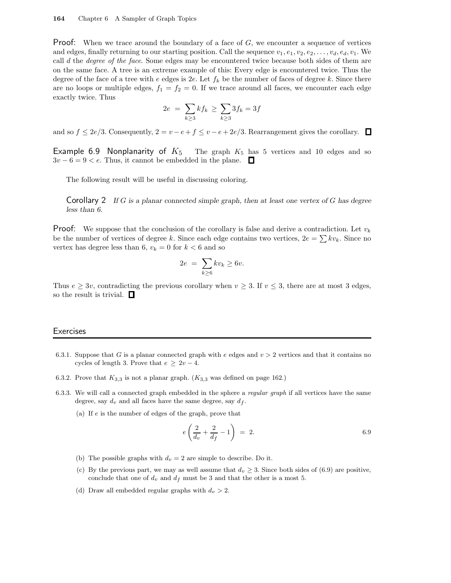**Proof:** When we trace around the boundary of a face of  $G$ , we encounter a sequence of vertices and edges, finally returning to our starting position. Call the sequence  $v_1, e_1, v_2, e_2, \ldots, v_d, e_d, v_1$ . We call  $d$  the *degree of the face*. Some edges may be encountered twice because both sides of them are on the same face. A tree is an extreme example of this: Every edge is encountered twice. Thus the degree of the face of a tree with e edges is 2e. Let  $f_k$  be the number of faces of degree k. Since there are no loops or multiple edges,  $f_1 = f_2 = 0$ . If we trace around all faces, we encounter each edge exactly twice. Thus

$$
2e = \sum_{k \ge 3} k f_k \ge \sum_{k \ge 3} 3f_k = 3f
$$

and so  $f \le 2e/3$ . Consequently,  $2 = v - e + f \le v - e + 2e/3$ . Rearrangement gives the corollary.  $\Box$ 

Example 6.9 Nonplanarity of  $K_5$  The graph  $K_5$  has 5 vertices and 10 edges and so  $3v - 6 = 9 < e$ . Thus, it cannot be embedded in the plane.

The following result will be useful in discussing coloring.

**Corollary 2** If G is a planar connected simple graph, then at least one vertex of G has degree less than 6.

**Proof:** We suppose that the conclusion of the corollary is false and derive a contradiction. Let  $v_k$ be the number of vertices of degree k. Since each edge contains two vertices,  $2e = \sum k v_k$ . Since no vertex has degree less than 6,  $v_k = 0$  for  $k < 6$  and so

$$
2e = \sum_{k \ge 6} k v_k \ge 6v.
$$

Thus  $e \geq 3v$ , contradicting the previous corollary when  $v \geq 3$ . If  $v \leq 3$ , there are at most 3 edges, so the result is trivial.  $\square$ 

#### **Exercises**

- 6.3.1. Suppose that G is a planar connected graph with e edges and  $v > 2$  vertices and that it contains no cycles of length 3. Prove that  $e \geq 2v - 4$ .
- 6.3.2. Prove that  $K_{3,3}$  is not a planar graph.  $(K_{3,3}$  was defined on page 162.)
- 6.3.3. We will call a connected graph embedded in the sphere a regular graph if all vertices have the same degree, say  $d_v$  and all faces have the same degree, say  $d_f$ .
	- (a) If e is the number of edges of the graph, prove that

$$
e\left(\frac{2}{d_v} + \frac{2}{d_f} - 1\right) = 2. \tag{6.9}
$$

- (b) The possible graphs with  $d_v = 2$  are simple to describe. Do it.
- (c) By the previous part, we may as well assume that  $d_v \geq 3$ . Since both sides of (6.9) are positive, conclude that one of  $d_v$  and  $d_f$  must be 3 and that the other is a most 5.
- (d) Draw all embedded regular graphs with  $d_v > 2$ .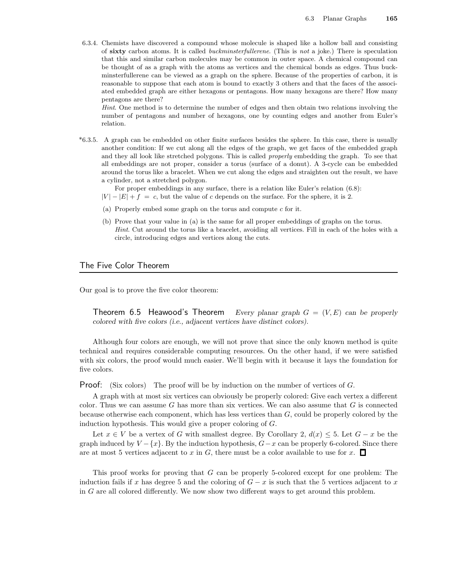6.3.4. Chemists have discovered a compound whose molecule is shaped like a hollow ball and consisting of sixty carbon atoms. It is called buckminsterfullerene. (This is not a joke.) There is speculation that this and similar carbon molecules may be common in outer space. A chemical compound can be thought of as a graph with the atoms as vertices and the chemical bonds as edges. Thus buckminsterfullerene can be viewed as a graph on the sphere. Because of the properties of carbon, it is reasonable to suppose that each atom is bound to exactly 3 others and that the faces of the associated embedded graph are either hexagons or pentagons. How many hexagons are there? How many pentagons are there?

Hint. One method is to determine the number of edges and then obtain two relations involving the number of pentagons and number of hexagons, one by counting edges and another from Euler's relation.

- \*6.3.5. A graph can be embedded on other finite surfaces besides the sphere. In this case, there is usually another condition: If we cut along all the edges of the graph, we get faces of the embedded graph and they all look like stretched polygons. This is called *properly* embedding the graph. To see that all embeddings are not proper, consider a torus (surface of a donut). A 3-cycle can be embedded around the torus like a bracelet. When we cut along the edges and straighten out the result, we have a cylinder, not a stretched polygon.
	- For proper embeddings in any surface, there is a relation like Euler's relation (6.8):
	- $|V| |E| + f = c$ , but the value of c depends on the surface. For the sphere, it is 2.
	- (a) Properly embed some graph on the torus and compute c for it.
	- (b) Prove that your value in (a) is the same for all proper embeddings of graphs on the torus. Hint. Cut around the torus like a bracelet, avoiding all vertices. Fill in each of the holes with a circle, introducing edges and vertices along the cuts.

#### The Five Color Theorem

Our goal is to prove the five color theorem:

Theorem 6.5 Heawood's Theorem Every planar graph  $G = (V, E)$  can be properly colored with five colors (i.e., adjacent vertices have distinct colors).

Although four colors are enough, we will not prove that since the only known method is quite technical and requires considerable computing resources. On the other hand, if we were satisfied with six colors, the proof would much easier. We'll begin with it because it lays the foundation for five colors.

Proof: (Six colors) The proof will be by induction on the number of vertices of G.

A graph with at most six vertices can obviously be properly colored: Give each vertex a different color. Thus we can assume  $G$  has more than six vertices. We can also assume that  $G$  is connected because otherwise each component, which has less vertices than G, could be properly colored by the induction hypothesis. This would give a proper coloring of G.

Let  $x \in V$  be a vertex of G with smallest degree. By Corollary 2,  $d(x) \leq 5$ . Let  $G - x$  be the graph induced by  $V - \{x\}$ . By the induction hypothesis,  $G - x$  can be properly 6-colored. Since there are at most 5 vertices adjacent to x in G, there must be a color available to use for x.  $\Box$ 

This proof works for proving that G can be properly 5-colored except for one problem: The induction fails if x has degree 5 and the coloring of  $G - x$  is such that the 5 vertices adjacent to x in G are all colored differently. We now show two different ways to get around this problem.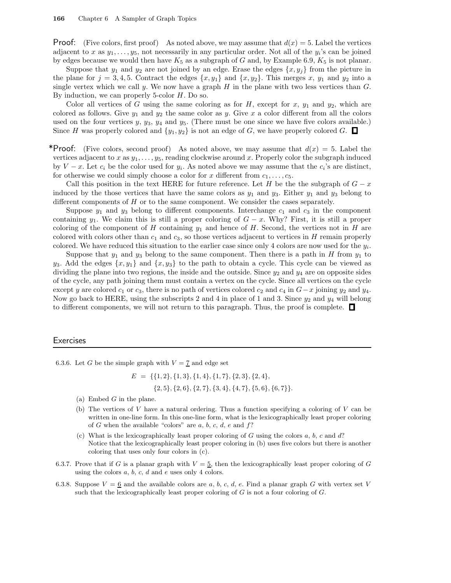**Proof:** (Five colors, first proof) As noted above, we may assume that  $d(x) = 5$ . Label the vertices adjacent to x as  $y_1, \ldots, y_5$ , not necessarily in any particular order. Not all of the  $y_i$ 's can be joined by edges because we would then have  $K_5$  as a subgraph of G and, by Example 6.9,  $K_5$  is not planar.

Suppose that  $y_1$  and  $y_2$  are not joined by an edge. Erase the edges  $\{x, y_j\}$  from the picture in the plane for  $j = 3, 4, 5$ . Contract the edges  $\{x, y_1\}$  and  $\{x, y_2\}$ . This merges x,  $y_1$  and  $y_2$  into a single vertex which we call y. We now have a graph  $H$  in the plane with two less vertices than  $G$ . By induction, we can properly 5-color  $H$ . Do so.

Color all vertices of G using the same coloring as for H, except for x,  $y_1$  and  $y_2$ , which are colored as follows. Give  $y_1$  and  $y_2$  the same color as y. Give x a color different from all the colors used on the four vertices y,  $y_3$ ,  $y_4$  and  $y_5$ . (There must be one since we have five colors available.) Since H was properly colored and  $\{y_1, y_2\}$  is not an edge of G, we have properly colored G.  $\Box$ 

\*Proof: (Five colors, second proof) As noted above, we may assume that  $d(x) = 5$ . Label the vertices adjacent to x as  $y_1, \ldots, y_5$ , reading clockwise around x. Properly color the subgraph induced by  $V - x$ . Let  $c_i$  be the color used for  $y_i$ . As noted above we may assume that the  $c_i$ 's are distinct, for otherwise we could simply choose a color for x different from  $c_1, \ldots, c_5$ .

Call this position in the text HERE for future reference. Let H be the subgraph of  $G - x$ induced by the those vertices that have the same colors as  $y_1$  and  $y_3$ . Either  $y_1$  and  $y_3$  belong to different components of H or to the same component. We consider the cases separately.

Suppose  $y_1$  and  $y_3$  belong to different components. Interchange  $c_1$  and  $c_3$  in the component containing y<sub>1</sub>. We claim this is still a proper coloring of  $G - x$ . Why? First, it is still a proper coloring of the component of H containing  $y_1$  and hence of H. Second, the vertices not in H are colored with colors other than  $c_1$  and  $c_3$ , so those vertices adjacent to vertices in H remain properly colored. We have reduced this situation to the earlier case since only 4 colors are now used for the  $y_i$ .

Suppose that  $y_1$  and  $y_3$  belong to the same component. Then there is a path in H from  $y_1$  to  $y_3$ . Add the edges  $\{x, y_1\}$  and  $\{x, y_3\}$  to the path to obtain a cycle. This cycle can be viewed as dividing the plane into two regions, the inside and the outside. Since  $y_2$  and  $y_4$  are on opposite sides of the cycle, any path joining them must contain a vertex on the cycle. Since all vertices on the cycle except y are colored  $c_1$  or  $c_3$ , there is no path of vertices colored  $c_2$  and  $c_4$  in  $G-x$  joining  $y_2$  and  $y_4$ . Now go back to HERE, using the subscripts 2 and 4 in place of 1 and 3. Since  $y_2$  and  $y_4$  will belong to different components, we will not return to this paragraph. Thus, the proof is complete.  $\Box$ 

#### **Exercises**

6.3.6. Let G be the simple graph with  $V = 7$  and edge set

$$
E = \{ \{1, 2\}, \{1, 3\}, \{1, 4\}, \{1, 7\}, \{2, 3\}, \{2, 4\}, \{2, 5\}, \{2, 6\}, \{2, 7\}, \{3, 4\}, \{4, 7\}, \{5, 6\}, \{6, 7\} \}.
$$

- (a) Embed  $G$  in the plane.
- (b) The vertices of  $V$  have a natural ordering. Thus a function specifying a coloring of  $V$  can be written in one-line form. In this one-line form, what is the lexicographically least proper coloring of G when the available "colors" are  $a, b, c, d, e$  and  $f$ ?
- (c) What is the lexicographically least proper coloring of G using the colors  $a, b, c$  and  $d$ ? Notice that the lexicographically least proper coloring in (b) uses five colors but there is another coloring that uses only four colors in (c).
- 6.3.7. Prove that if G is a planar graph with  $V = 5$ , then the lexicographically least proper coloring of G using the colors  $a, b, c, d$  and  $e$  uses only 4 colors.
- 6.3.8. Suppose  $V = 6$  and the available colors are a, b, c, d, e. Find a planar graph G with vertex set V such that the lexicographically least proper coloring of  $G$  is not a four coloring of  $G$ .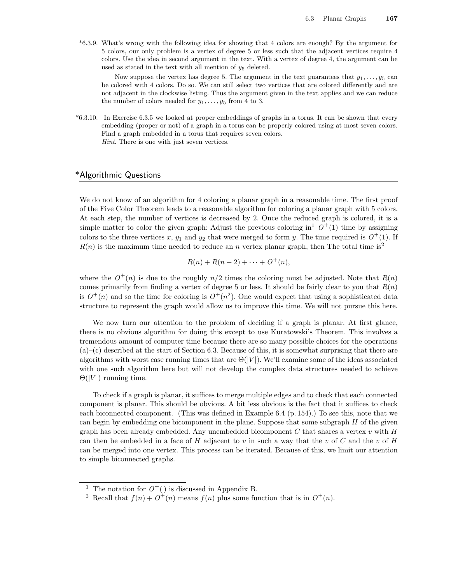\*6.3.9. What's wrong with the following idea for showing that 4 colors are enough? By the argument for 5 colors, our only problem is a vertex of degree 5 or less such that the adjacent vertices require 4 colors. Use the idea in second argument in the text. With a vertex of degree 4, the argument can be used as stated in the text with all mention of y5 deleted.

Now suppose the vertex has degree 5. The argument in the text guarantees that  $y_1, \ldots, y_5$  can be colored with 4 colors. Do so. We can still select two vertices that are colored differently and are not adjacent in the clockwise listing. Thus the argument given in the text applies and we can reduce the number of colors needed for  $y_1, \ldots, y_5$  from 4 to 3.

\*6.3.10. In Exercise 6.3.5 we looked at proper embeddings of graphs in a torus. It can be shown that every embedding (proper or not) of a graph in a torus can be properly colored using at most seven colors. Find a graph embedded in a torus that requires seven colors. Hint. There is one with just seven vertices.

#### \*Algorithmic Questions

We do not know of an algorithm for 4 coloring a planar graph in a reasonable time. The first proof of the Five Color Theorem leads to a reasonable algorithm for coloring a planar graph with 5 colors. At each step, the number of vertices is decreased by 2. Once the reduced graph is colored, it is a simple matter to color the given graph: Adjust the previous coloring in<sup>1</sup>  $O^+(1)$  time by assigning colors to the three vertices x,  $y_1$  and  $y_2$  that were merged to form y. The time required is  $O^+(1)$ . If  $R(n)$  is the maximum time needed to reduce an n vertex planar graph, then The total time is<sup>2</sup>

$$
R(n) + R(n - 2) + \cdots + O^{+}(n),
$$

where the  $O^+(n)$  is due to the roughly  $n/2$  times the coloring must be adjusted. Note that  $R(n)$ comes primarily from finding a vertex of degree 5 or less. It should be fairly clear to you that  $R(n)$ is  $O^+(n)$  and so the time for coloring is  $O^+(n^2)$ . One would expect that using a sophisticated data structure to represent the graph would allow us to improve this time. We will not pursue this here.

We now turn our attention to the problem of deciding if a graph is planar. At first glance, there is no obvious algorithm for doing this except to use Kuratowski's Theorem. This involves a tremendous amount of computer time because there are so many possible choices for the operations (a)–(c) described at the start of Section 6.3. Because of this, it is somewhat surprising that there are algorithms with worst case running times that are  $\Theta(|V|)$ . We'll examine some of the ideas associated with one such algorithm here but will not develop the complex data structures needed to achieve  $\Theta(|V|)$  running time.

To check if a graph is planar, it suffices to merge multiple edges and to check that each connected component is planar. This should be obvious. A bit less obvious is the fact that it suffices to check each biconnected component. (This was defined in Example 6.4 (p. 154).) To see this, note that we can begin by embedding one bicomponent in the plane. Suppose that some subgraph  $H$  of the given graph has been already embedded. Any unembedded bicomponent  $C$  that shares a vertex  $v$  with  $H$ can then be embedded in a face of H adjacent to v in such a way that the v of C and the v of H can be merged into one vertex. This process can be iterated. Because of this, we limit our attention to simple biconnected graphs.

<sup>&</sup>lt;sup>1</sup> The notation for  $O^+($ ) is discussed in Appendix B.

<sup>&</sup>lt;sup>2</sup> Recall that  $f(n) + O^{+}(n)$  means  $f(n)$  plus some function that is in  $O^{+}(n)$ .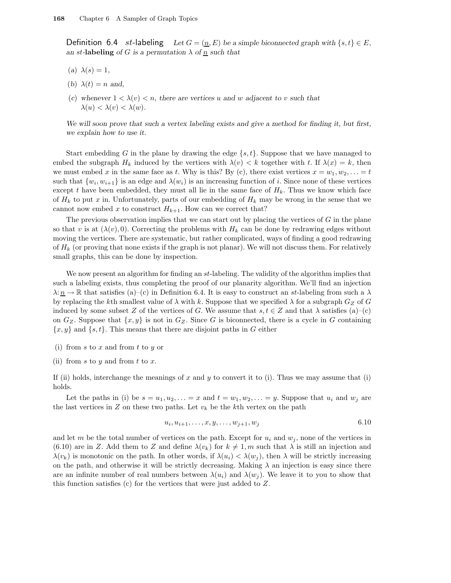Definition 6.4 st-labeling Let  $G = (\underline{n}, E)$  be a simple biconnected graph with  $\{s, t\} \in E$ , an st-labeling of G is a permutation  $\lambda$  of  $\underline{n}$  such that

- (a)  $\lambda(s) = 1$ ,
- (b)  $\lambda(t) = n$  and,
- (c) whenever  $1 < \lambda(v) < n$ , there are vertices u and w adjacent to v such that  $\lambda(u) < \lambda(v) < \lambda(w)$ .

We will soon prove that such a vertex labeling exists and give a method for finding it, but first, we explain how to use it.

Start embedding G in the plane by drawing the edge  $\{s, t\}$ . Suppose that we have managed to embed the subgraph  $H_k$  induced by the vertices with  $\lambda(v) < k$  together with t. If  $\lambda(x) = k$ , then we must embed x in the same face as t. Why is this? By (c), there exist vertices  $x = w_1, w_2, \ldots = t$ such that  $\{w_i, w_{i+1}\}$  is an edge and  $\lambda(w_i)$  is an increasing function of i. Since none of these vertices except t have been embedded, they must all lie in the same face of  $H_k$ . Thus we know which face of  $H_k$  to put x in. Unfortunately, parts of our embedding of  $H_k$  may be wrong in the sense that we cannot now embed x to construct  $H_{k+1}$ . How can we correct that?

The previous observation implies that we can start out by placing the vertices of  $G$  in the plane so that v is at  $(\lambda(v), 0)$ . Correcting the problems with  $H_k$  can be done by redrawing edges without moving the vertices. There are systematic, but rather complicated, ways of finding a good redrawing of  $H_k$  (or proving that none exists if the graph is not planar). We will not discuss them. For relatively small graphs, this can be done by inspection.

We now present an algorithm for finding an  $st$ -labeling. The validity of the algorithm implies that such a labeling exists, thus completing the proof of our planarity algorithm. We'll find an injection  $\lambda:\underline{n} \to \mathbb{R}$  that satisfies (a)–(c) in Definition 6.4. It is easy to construct an st-labeling from such a  $\lambda$ by replacing the kth smallest value of  $\lambda$  with k. Suppose that we specified  $\lambda$  for a subgraph  $G_Z$  of G induced by some subset Z of the vertices of G. We assume that s,  $t \in Z$  and that  $\lambda$  satisfies (a)–(c) on  $G_Z$ . Suppose that  $\{x, y\}$  is not in  $G_Z$ . Since G is biconnected, there is a cycle in G containing  ${x, y}$  and  ${s, t}$ . This means that there are disjoint paths in G either

- (i) from s to x and from t to y or
- (ii) from s to y and from t to x.

If (ii) holds, interchange the meanings of x and y to convert it to (i). Thus we may assume that (i) holds.

Let the paths in (i) be  $s = u_1, u_2, \ldots = x$  and  $t = w_1, w_2, \ldots = y$ . Suppose that  $u_i$  and  $w_j$  are the last vertices in Z on these two paths. Let  $v_k$  be the kth vertex on the path

$$
u_i, u_{i+1}, \dots, x, y, \dots, w_{j+1}, w_j \tag{6.10}
$$

and let m be the total number of vertices on the path. Except for  $u_i$  and  $w_j$ , none of the vertices in (6.10) are in Z. Add them to Z and define  $\lambda(v_k)$  for  $k \neq 1, m$  such that  $\lambda$  is still an injection and  $\lambda(v_k)$  is monotonic on the path. In other words, if  $\lambda(u_i) < \lambda(w_i)$ , then  $\lambda$  will be strictly increasing on the path, and otherwise it will be strictly decreasing. Making  $\lambda$  an injection is easy since there are an infinite number of real numbers between  $\lambda(u_i)$  and  $\lambda(w_i)$ . We leave it to you to show that this function satisfies (c) for the vertices that were just added to Z.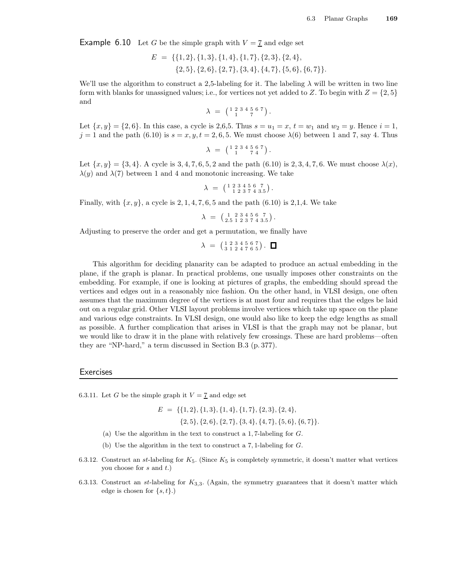**Example 6.10** Let G be the simple graph with  $V = 7$  and edge set

$$
E = \{ \{1, 2\}, \{1, 3\}, \{1, 4\}, \{1, 7\}, \{2, 3\}, \{2, 4\}, \{2, 5\}, \{2, 6\}, \{2, 7\}, \{3, 4\}, \{4, 7\}, \{5, 6\}, \{6, 7\} \}.
$$

We'll use the algorithm to construct a 2,5-labeling for it. The labeling  $\lambda$  will be written in two line form with blanks for unassigned values; i.e., for vertices not yet added to Z. To begin with  $Z = \{2, 5\}$ and

$$
\lambda = \left(\begin{smallmatrix} 1 & 2 & 3 & 4 & 5 & 6 & 7 \\ 1 & 7 & 7 & 7 \end{smallmatrix}\right).
$$

Let  $\{x, y\} = \{2, 6\}$ . In this case, a cycle is 2,6,5. Thus  $s = u_1 = x$ ,  $t = w_1$  and  $w_2 = y$ . Hence  $i = 1$ ,  $j = 1$  and the path (6.10) is  $s = x, y, t = 2, 6, 5$ . We must choose  $\lambda(6)$  between 1 and 7, say 4. Thus

$$
\lambda = \left(\begin{smallmatrix} 1 & 2 & 3 & 4 & 5 & 6 & 7 \\ 1 & 1 & 7 & 4 & 7 \end{smallmatrix}\right).
$$

Let  $\{x, y\} = \{3, 4\}$ . A cycle is 3, 4, 7, 6, 5, 2 and the path (6.10) is 2, 3, 4, 7, 6. We must choose  $\lambda(x)$ ,  $\lambda(y)$  and  $\lambda(7)$  between 1 and 4 and monotonic increasing. We take

$$
\lambda = \left( \begin{smallmatrix} 1 & 2 & 3 & 4 & 5 & 6 & 7 \\ & 1 & 2 & 3 & 7 & 4 & 3.5 \end{smallmatrix} \right).
$$

Finally, with  $\{x, y\}$ , a cycle is 2, 1, 4, 7, 6, 5 and the path (6.10) is 2,1,4. We take

$$
\lambda = \left(\begin{smallmatrix} 1 & 2 & 3 & 4 & 5 & 6 & 7 \\ 2.5 & 1 & 2 & 3 & 7 & 4 & 3.5 \end{smallmatrix}\right).
$$

Adjusting to preserve the order and get a permutation, we finally have

$$
\lambda = \left(\begin{smallmatrix} 1 & 2 & 3 & 4 & 5 & 6 & 7 \\ 3 & 1 & 2 & 4 & 7 & 6 & 5 \end{smallmatrix}\right). \ \blacksquare
$$

This algorithm for deciding planarity can be adapted to produce an actual embedding in the plane, if the graph is planar. In practical problems, one usually imposes other constraints on the embedding. For example, if one is looking at pictures of graphs, the embedding should spread the vertices and edges out in a reasonably nice fashion. On the other hand, in VLSI design, one often assumes that the maximum degree of the vertices is at most four and requires that the edges be laid out on a regular grid. Other VLSI layout problems involve vertices which take up space on the plane and various edge constraints. In VLSI design, one would also like to keep the edge lengths as small as possible. A further complication that arises in VLSI is that the graph may not be planar, but we would like to draw it in the plane with relatively few crossings. These are hard problems—often they are "NP-hard," a term discussed in Section B.3 (p. 377).

#### **Exercises**

6.3.11. Let G be the simple graph it  $V = 7$  and edge set

 $E = \{ \{1, 2\}, \{1, 3\}, \{1, 4\}, \{1, 7\}, \{2, 3\}, \{2, 4\},\$ 

 $\{2, 5\}, \{2, 6\}, \{2, 7\}, \{3, 4\}, \{4, 7\}, \{5, 6\}, \{6, 7\}\}.$ 

- (a) Use the algorithm in the text to construct a  $1, 7$ -labeling for  $G$ .
- (b) Use the algorithm in the text to construct a 7, 1-labeling for G.
- 6.3.12. Construct an st-labeling for  $K_5$ . (Since  $K_5$  is completely symmetric, it doesn't matter what vertices you choose for  $s$  and  $t$ .)
- 6.3.13. Construct an st-labeling for  $K_{3,3}$ . (Again, the symmetry guarantees that it doesn't matter which edge is chosen for  $\{s, t\}$ .)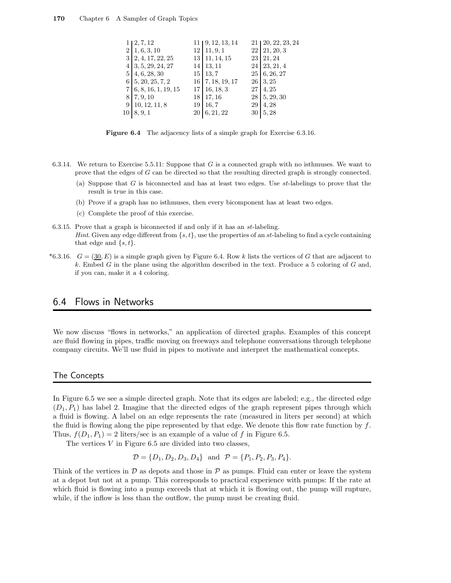|    | 2, 7, 12                          |    | $11 \mid 9, 12, 13, 14$ |    | $21 \mid 20, 22, 23, 24$ |
|----|-----------------------------------|----|-------------------------|----|--------------------------|
|    | $2 \mid 1, 6, 3, 10$              |    | $12 \mid 11, 9, 1$      |    | $22 \mid 21, 20, 3$      |
|    | $3 \mid 2, 4, 17, 22, 25$         |    | $13 \mid 11, 14, 15$    |    | $23 \mid 21, 24$         |
|    | 3, 5, 29, 24, 27                  | 14 | 13, 11                  |    | $24 \mid 23, 21, 4$      |
| 5  | 4, 6, 28, 30                      | 15 | 13,7                    |    | $25 \mid 6, 26, 27$      |
|    | $6 \mid 5, 20, 25, 7, 2$          |    | $16 \mid 7, 18, 19, 17$ |    | $26 \mid 3, 25$          |
|    | $\vert 6, 8, 16, 1, 19, 15 \vert$ | 17 | 16, 18, 3               |    | $27 \mid 4, 25$          |
|    | 7, 9, 10                          | 18 | 17, 16                  |    | $28 \mid 5, 29, 30$      |
| 9  | 10, 12, 11, 8                     | 19 | 16,7                    | 29 | 4,28                     |
| 10 | 8, 9, 1                           | 20 | 6, 21, 22               | 30 | 5, 28                    |
|    |                                   |    |                         |    |                          |

Figure 6.4 The adjacency lists of a simple graph for Exercise 6.3.16.

- 6.3.14. We return to Exercise 5.5.11: Suppose that  $G$  is a connected graph with no isthmuses. We want to prove that the edges of G can be directed so that the resulting directed graph is strongly connected.
	- (a) Suppose that  $G$  is biconnected and has at least two edges. Use  $st$ -labelings to prove that the result is true in this case.
	- (b) Prove if a graph has no isthmuses, then every bicomponent has at least two edges.
	- (c) Complete the proof of this exercise.
- 6.3.15. Prove that a graph is biconnected if and only if it has an st-labeling. Hint. Given any edge different from  $\{s, t\}$ , use the properties of an st-labeling to find a cycle containing that edge and  $\{s, t\}.$
- \*6.3.16.  $G = (30, E)$  is a simple graph given by Figure 6.4. Row k lists the vertices of G that are adjacent to k. Embed G in the plane using the algorithm described in the text. Produce a 5 coloring of G and, if you can, make it a 4 coloring.

## 6.4 Flows in Networks

We now discuss "flows in networks," an application of directed graphs. Examples of this concept are fluid flowing in pipes, traffic moving on freeways and telephone conversations through telephone company circuits. We'll use fluid in pipes to motivate and interpret the mathematical concepts.

#### The Concepts

In Figure 6.5 we see a simple directed graph. Note that its edges are labeled; e.g., the directed edge  $(D_1, P_1)$  has label 2. Imagine that the directed edges of the graph represent pipes through which a fluid is flowing. A label on an edge represents the rate (measured in liters per second) at which the fluid is flowing along the pipe represented by that edge. We denote this flow rate function by  $f$ . Thus,  $f(D_1, P_1) = 2$  liters/sec is an example of a value of f in Figure 6.5.

The vertices  $V$  in Figure 6.5 are divided into two classes,

$$
\mathcal{D} = \{D_1, D_2, D_3, D_4\} \text{ and } \mathcal{P} = \{P_1, P_2, P_3, P_4\}.
$$

Think of the vertices in  $\mathcal D$  as depots and those in  $\mathcal P$  as pumps. Fluid can enter or leave the system at a depot but not at a pump. This corresponds to practical experience with pumps: If the rate at which fluid is flowing into a pump exceeds that at which it is flowing out, the pump will rupture, while, if the inflow is less than the outflow, the pump must be creating fluid.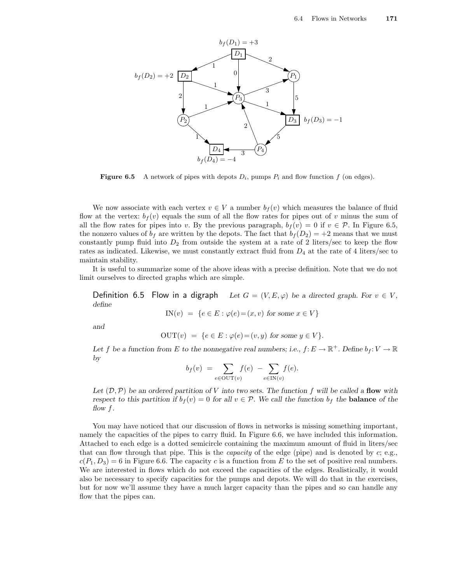

**Figure 6.5** A network of pipes with depots  $D_i$ , pumps  $P_i$  and flow function f (on edges).

We now associate with each vertex  $v \in V$  a number  $b_f(v)$  which measures the balance of fluid flow at the vertex:  $b_f(v)$  equals the sum of all the flow rates for pipes out of v minus the sum of all the flow rates for pipes into v. By the previous paragraph,  $b_f(v) = 0$  if  $v \in \mathcal{P}$ . In Figure 6.5, the nonzero values of  $b_f$  are written by the depots. The fact that  $b_f (D_2) = +2$  means that we must constantly pump fluid into  $D_2$  from outside the system at a rate of 2 liters/sec to keep the flow rates as indicated. Likewise, we must constantly extract fluid from  $D_4$  at the rate of 4 liters/sec to maintain stability.

It is useful to summarize some of the above ideas with a precise definition. Note that we do not limit ourselves to directed graphs which are simple.

Definition 6.5 Flow in a digraph Let  $G = (V, E, \varphi)$  be a directed graph. For  $v \in V$ , define

$$
IN(v) = \{e \in E : \varphi(e) = (x, v) \text{ for some } x \in V\}
$$

and

$$
OUT(v) = \{e \in E : \varphi(e) = (v, y) \text{ for some } y \in V\}.
$$

Let f be a function from E to the nonnegative real numbers; i.e.,  $f: E \to \mathbb{R}^+$ . Define  $b_f: V \to \mathbb{R}$ by

$$
b_f(v) = \sum_{e \in \text{OUT}(v)} f(e) - \sum_{e \in \text{IN}(v)} f(e).
$$

Let  $(D, \mathcal{P})$  be an ordered partition of V into two sets. The function f will be called a flow with respect to this partition if  $b_f(v) = 0$  for all  $v \in \mathcal{P}$ . We call the function  $b_f$  the **balance** of the flow  $f$ .

You may have noticed that our discussion of flows in networks is missing something important, namely the capacities of the pipes to carry fluid. In Figure 6.6, we have included this information. Attached to each edge is a dotted semicircle containing the maximum amount of fluid in liters/sec that can flow through that pipe. This is the *capacity* of the edge (pipe) and is denoted by  $c$ ; e.g.,  $c(P_1, D_3) = 6$  in Figure 6.6. The capacity c is a function from E to the set of positive real numbers. We are interested in flows which do not exceed the capacities of the edges. Realistically, it would also be necessary to specify capacities for the pumps and depots. We will do that in the exercises, but for now we'll assume they have a much larger capacity than the pipes and so can handle any flow that the pipes can.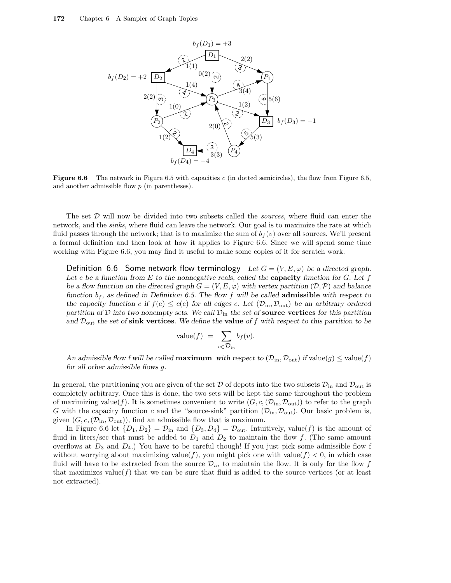

**Figure 6.6** The network in Figure 6.5 with capacities c (in dotted semicircles), the flow from Figure 6.5, and another admissible flow  $p$  (in parentheses).

The set  $D$  will now be divided into two subsets called the *sources*, where fluid can enter the network, and the sinks, where fluid can leave the network. Our goal is to maximize the rate at which fluid passes through the network; that is to maximize the sum of  $b_f(v)$  over all sources. We'll present a formal definition and then look at how it applies to Figure 6.6. Since we will spend some time working with Figure 6.6, you may find it useful to make some copies of it for scratch work.

Definition 6.6 Some network flow terminology Let  $G = (V, E, \varphi)$  be a directed graph. Let c be a function from E to the nonnegative reals, called the **capacity** function for G. Let f be a flow function on the directed graph  $G = (V, E, \varphi)$  with vertex partition  $(D, \mathcal{P})$  and balance function  $b_f$ , as defined in Definition 6.5. The flow f will be called **admissible** with respect to the capacity function c if  $f(e) \leq c(e)$  for all edges e. Let  $(\mathcal{D}_{\text{in}}, \mathcal{D}_{\text{out}})$  be an arbitrary ordered partition of  $D$  into two nonempty sets. We call  $D_{\text{in}}$  the set of **source vertices** for this partition and  $\mathcal{D}_{\text{out}}$  the set of sink vertices. We define the value of f with respect to this partition to be

value(f) = 
$$
\sum_{v \in \mathcal{D}_{\text{in}}} b_f(v).
$$

An admissible flow f will be called **maximum** with respect to  $(\mathcal{D}_{\text{in}}, \mathcal{D}_{\text{out}})$  if value(g)  $\leq$  value(f) for all other admissible flows g.

In general, the partitioning you are given of the set  $D$  of depots into the two subsets  $D_{in}$  and  $D_{out}$  is completely arbitrary. Once this is done, the two sets will be kept the same throughout the problem of maximizing value(f). It is sometimes convenient to write  $(G, c,(\mathcal{D}_{\text{in}}, \mathcal{D}_{\text{out}}))$  to refer to the graph G with the capacity function c and the "source-sink" partition  $(\mathcal{D}_{\text{in}}, \mathcal{D}_{\text{out}})$ . Our basic problem is, given  $(G, c,(\mathcal{D}_{\text{in}}, \mathcal{D}_{\text{out}}))$ , find an admissible flow that is maximum.

In Figure 6.6 let  $\{D_1, D_2\} = \mathcal{D}_{\text{in}}$  and  $\{D_3, D_4\} = \mathcal{D}_{\text{out}}$ . Intuitively, value(f) is the amount of fluid in liters/sec that must be added to  $D_1$  and  $D_2$  to maintain the flow f. (The same amount overflows at  $D_3$  and  $D_4$ .) You have to be careful though! If you just pick some admissible flow f without worrying about maximizing value(f), you might pick one with value( $f$ ) < 0, in which case fluid will have to be extracted from the source  $\mathcal{D}_{in}$  to maintain the flow. It is only for the flow f that maximizes value( $f$ ) that we can be sure that fluid is added to the source vertices (or at least not extracted).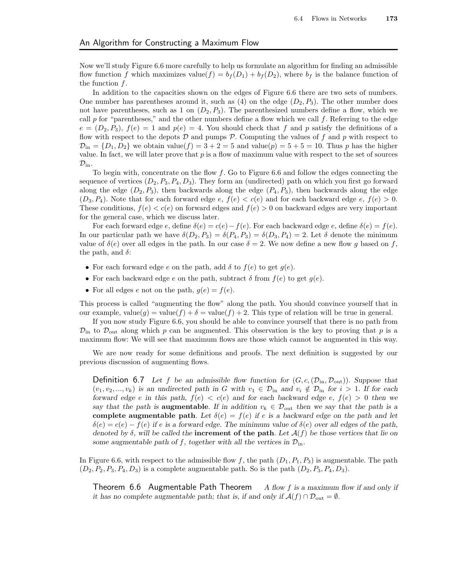Now we'll study Figure 6.6 more carefully to help us formulate an algorithm for finding an admissible flow function f which maximizes value $(f) = b_f(D_1) + b_f(D_2)$ , where  $b_f$  is the balance function of the function  $f$ .

In addition to the capacities shown on the edges of Figure 6.6 there are two sets of numbers. One number has parentheses around it, such as (4) on the edge  $(D_2, P_3)$ . The other number does not have parentheses, such as 1 on  $(D_2, P_3)$ . The parenthesized numbers define a flow, which we call p for "parentheses," and the other numbers define a flow which we call f. Referring to the edge  $e = (D_2, P_3)$ ,  $f(e) = 1$  and  $p(e) = 4$ . You should check that f and p satisfy the definitions of a flow with respect to the depots  $\mathcal D$  and pumps  $\mathcal P$ . Computing the values of f and p with respect to  $\mathcal{D}_{\text{in}} = \{D_1, D_2\}$  we obtain value $(f) = 3 + 2 = 5$  and value $(p) = 5 + 5 = 10$ . Thus p has the higher value. In fact, we will later prove that  $p$  is a flow of maximum value with respect to the set of sources  $\mathcal{D}_{\text{in}}$ .

To begin with, concentrate on the flow f. Go to Figure 6.6 and follow the edges connecting the sequence of vertices  $(D_2, P_3, P_4, D_3)$ . They form an (undirected) path on which you first go forward along the edge  $(D_2, P_3)$ , then backwards along the edge  $(P_4, P_3)$ , then backwards along the edge  $(D_3, P_4)$ . Note that for each forward edge e,  $f(e) < c(e)$  and for each backward edge e,  $f(e) > 0$ . These conditions,  $f(e) < c(e)$  on forward edges and  $f(e) > 0$  on backward edges are very important for the general case, which we discuss later.

For each forward edge  $e$ , define  $\delta(e) = c(e) - f(e)$ . For each backward edge  $e$ , define  $\delta(e) = f(e)$ . In our particular path we have  $\delta(D_2, P_3) = \delta(P_4, P_3) = \delta(D_3, P_4) = 2$ . Let  $\delta$  denote the minimum value of  $\delta(e)$  over all edges in the path. In our case  $\delta = 2$ . We now define a new flow g based on f, the path, and  $\delta$ :

- For each forward edge e on the path, add  $\delta$  to  $f(e)$  to get  $g(e)$ .
- For each backward edge e on the path, subtract  $\delta$  from  $f(e)$  to get  $g(e)$ .
- For all edges e not on the path,  $q(e) = f(e)$ .

This process is called "augmenting the flow" along the path. You should convince yourself that in our example, value $(g)$  = value $(f) + \delta$  = value $(f) + 2$ . This type of relation will be true in general.

If you now study Figure 6.6, you should be able to convince yourself that there is no path from  $\mathcal{D}_{\text{in}}$  to  $\mathcal{D}_{\text{out}}$  along which p can be augmented. This observation is the key to proving that p is a maximum flow: We will see that maximum flows are those which cannot be augmented in this way.

We are now ready for some definitions and proofs. The next definition is suggested by our previous discussion of augmenting flows.

**Definition 6.7** Let f be an admissible flow function for  $(G, c, (\mathcal{D}_{\text{in}}, \mathcal{D}_{\text{out}}))$ . Suppose that  $(v_1, v_2, ..., v_k)$  is an undirected path in G with  $v_1 \in \mathcal{D}_{\text{in}}$  and  $v_i \notin \mathcal{D}_{\text{in}}$  for  $i > 1$ . If for each forward edge e in this path,  $f(e) < c(e)$  and for each backward edge e,  $f(e) > 0$  then we say that the path is **augmentable**. If in addition  $v_k \in \mathcal{D}_{out}$  then we say that the path is a complete augmentable path. Let  $\delta(e) = f(e)$  if e is a backward edge on the path and let  $\delta(e) = c(e) - f(e)$  if e is a forward edge. The minimum value of  $\delta(e)$  over all edges of the path, denoted by  $\delta$ , will be called the **increment of the path**. Let  $\mathcal{A}(f)$  be those vertices that lie on some augmentable path of f, together with all the vertices in  $\mathcal{D}_{\text{in}}$ .

In Figure 6.6, with respect to the admissible flow f, the path  $(D_1, P_1, P_3)$  is augmentable. The path  $(D_2, P_2, P_3, P_4, D_3)$  is a complete augmentable path. So is the path  $(D_2, P_3, P_4, D_3)$ .

Theorem 6.6 Augmentable Path Theorem A flow f is a maximum flow if and only if it has no complete augmentable path; that is, if and only if  $\mathcal{A}(f) \cap \mathcal{D}_{\text{out}} = \emptyset$ .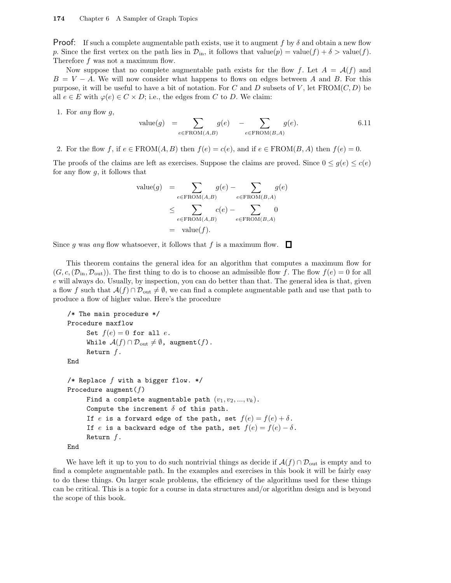**Proof:** If such a complete augmentable path exists, use it to augment f by  $\delta$  and obtain a new flow p. Since the first vertex on the path lies in  $\mathcal{D}_{in}$ , it follows that value(p) = value(f) +  $\delta >$  value(f). Therefore  $f$  was not a maximum flow.

Now suppose that no complete augmentable path exists for the flow f. Let  $A = \mathcal{A}(f)$  and  $B = V - A$ . We will now consider what happens to flows on edges between A and B. For this purpose, it will be useful to have a bit of notation. For C and D subsets of V, let  $FROM(C, D)$  be all  $e \in E$  with  $\varphi(e) \in C \times D$ ; i.e., the edges from C to D. We claim:

1. For any flow  $g$ ,

value(g) = 
$$
\sum_{e \in \text{FROM}(A,B)} g(e) - \sum_{e \in \text{FROM}(B,A)} g(e).
$$
 6.11

2. For the flow f, if  $e \in \text{FROM}(A, B)$  then  $f(e) = c(e)$ , and if  $e \in \text{FROM}(B, A)$  then  $f(e) = 0$ .

The proofs of the claims are left as exercises. Suppose the claims are proved. Since  $0 \le g(e) \le c(e)$ for any flow  $g$ , it follows that

value(g) = 
$$
\sum_{e \in \text{FROM}(A,B)} g(e) - \sum_{e \in \text{FROM}(B,A)} g(e)
$$

$$
\leq \sum_{e \in \text{FROM}(A,B)} c(e) - \sum_{e \in \text{FROM}(B,A)} 0
$$

$$
= \text{value}(f).
$$

Since q was any flow whatsoever, it follows that f is a maximum flow.  $\Box$ 

This theorem contains the general idea for an algorithm that computes a maximum flow for  $(G, c,(\mathcal{D}_{\text{in}}, \mathcal{D}_{\text{out}}))$ . The first thing to do is to choose an admissible flow f. The flow  $f(e) = 0$  for all e will always do. Usually, by inspection, you can do better than that. The general idea is that, given a flow f such that  $\mathcal{A}(f) \cap \mathcal{D}_{\text{out}} \neq \emptyset$ , we can find a complete augmentable path and use that path to produce a flow of higher value. Here's the procedure

```
/* The main procedure */
Procedure maxflow
      Set f(e) = 0 for all e.
      While \mathcal{A}(f) \cap \mathcal{D}_{\text{out}} \neq \emptyset, augment(f).
      Return f.
End
/* Replace f with a bigger flow. */
Procedure augment (f)Find a complete augmentable path (v_1, v_2, ..., v_k).
      Compute the increment \delta of this path.
      If e is a forward edge of the path, set f(e) = f(e) + \delta.
      If e is a backward edge of the path, set f(e) = f(e) - \delta.
      Return f.
End
```

```
We have left it up to you to do such nontrivial things as decide if \mathcal{A}(f) \cap \mathcal{D}_{\text{out}} is empty and to
find a complete augmentable path. In the examples and exercises in this book it will be fairly easy
to do these things. On larger scale problems, the efficiency of the algorithms used for these things
can be critical. This is a topic for a course in data structures and/or algorithm design and is beyond
the scope of this book.
```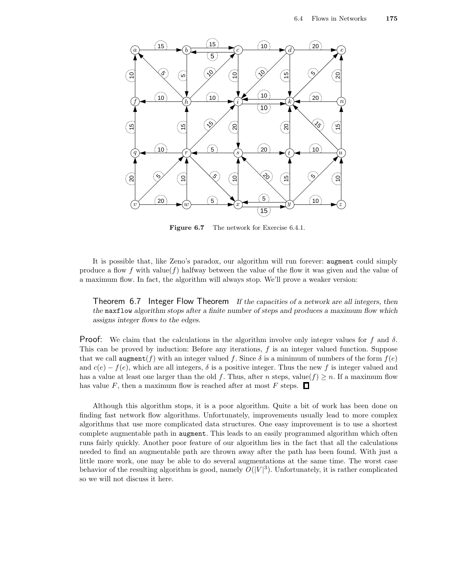

Figure 6.7 The network for Exercise 6.4.1.

It is possible that, like Zeno's paradox, our algorithm will run forever: augment could simply produce a flow f with value(f) halfway between the value of the flow it was given and the value of a maximum flow. In fact, the algorithm will always stop. We'll prove a weaker version:

Theorem 6.7 Integer Flow Theorem If the capacities of a network are all integers, then the maxflow algorithm stops after a finite number of steps and produces a maximum flow which assigns integer flows to the edges.

**Proof:** We claim that the calculations in the algorithm involve only integer values for f and  $\delta$ . This can be proved by induction: Before any iterations, f is an integer valued function. Suppose that we call augment(f) with an integer valued f. Since  $\delta$  is a minimum of numbers of the form  $f(e)$ and  $c(e) - f(e)$ , which are all integers,  $\delta$  is a positive integer. Thus the new f is integer valued and has a value at least one larger than the old f. Thus, after n steps, value(f)  $\geq n$ . If a maximum flow has value F, then a maximum flow is reached after at most F steps.  $\Box$ 

Although this algorithm stops, it is a poor algorithm. Quite a bit of work has been done on finding fast network flow algorithms. Unfortunately, improvements usually lead to more complex algorithms that use more complicated data structures. One easy improvement is to use a shortest complete augmentable path in augment. This leads to an easily programmed algorithm which often runs fairly quickly. Another poor feature of our algorithm lies in the fact that all the calculations needed to find an augmentable path are thrown away after the path has been found. With just a little more work, one may be able to do several augmentations at the same time. The worst case behavior of the resulting algorithm is good, namely  $O(|V|^3)$ . Unfortunately, it is rather complicated so we will not discuss it here.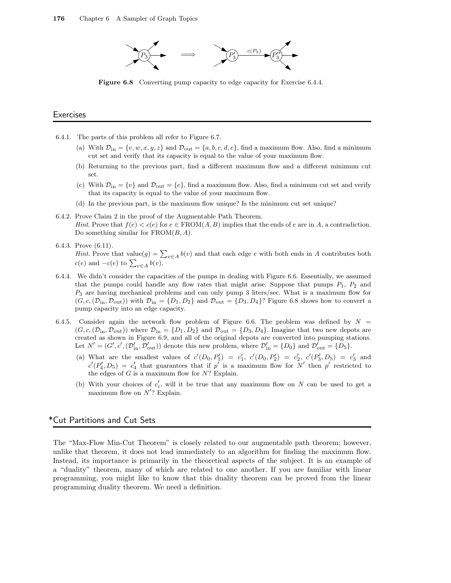

Figure 6.8 Converting pump capacity to edge capacity for Exercise 6.4.4.

#### **Exercises**

- 6.4.1. The parts of this problem all refer to Figure 6.7.
	- (a) With  $\mathcal{D}_{in} = \{v, w, x, y, z\}$  and  $\mathcal{D}_{out} = \{a, b, c, d, e\}$ , find a maximum flow. Also, find a minimum cut set and verify that its capacity is equal to the value of your maximum flow.
	- (b) Returning to the previous part, find a different maximum flow and a different minimum cut set.
	- (c) With  $\mathcal{D}_{in} = \{v\}$  and  $\mathcal{D}_{out} = \{e\}$ , find a maximum flow. Also, find a minimum cut set and verify that its capacity is equal to the value of your maximum flow.
	- (d) In the previous part, is the maximum flow unique? Is the minimum cut set unique?
- 6.4.2. Prove Claim 2 in the proof of the Augmentable Path Theorem. Hint. Prove that  $f(e) < c(e)$  for  $e \in \text{FROM}(A, B)$  implies that the ends of e are in A, a contradiction. Do something similar for  $FROM(B, A)$ .
- 6.4.3. Prove (6.11). *Hint*. Prove that value $(g) = \sum_{v \in A} b(v)$  and that each edge e with both ends in A contributes both  $c(e)$  and  $-c(e)$  to  $\sum_{v \in A} b(v)$ .
- 6.4.4. We didn't consider the capacities of the pumps in dealing with Figure 6.6. Essentially, we assumed that the pumps could handle any flow rates that might arise. Suppose that pumps  $P_1$ ,  $P_2$  and  $P_3$  are having mechanical problems and can only pump 3 liters/sec. What is a maximum flow for  $(G, c, (\mathcal{D}_{\text{in}}, \mathcal{D}_{\text{out}}))$  with  $\mathcal{D}_{\text{in}} = \{D_1, D_2\}$  and  $\mathcal{D}_{\text{out}} = \{D_3, D_4\}$ ? Figure 6.8 shows how to convert a pump capacity into an edge capacity.
- 6.4.5. Consider again the network flow problem of Figure 6.6. The problem was defined by  $N =$  $(G, c, (\mathcal{D}_{\text{in}}, \mathcal{D}_{\text{out}}))$  where  $\mathcal{D}_{\text{in}} = \{D_1, D_2\}$  and  $\mathcal{D}_{\text{out}} = \{D_3, D_4\}$ . Imagine that two new depots are created as shown in Figure 6.9, and all of the original depots are converted into pumping stations. Let  $N' = (G', c', (\mathcal{D}'_{in}, \mathcal{D}'_{out}))$  denote this new problem, where  $\mathcal{D}'_{in} = \{D_0\}$  and  $\mathcal{D}'_{out} = \{D_5\}.$ 
	- (a) What are the smallest values of  $c'(D_0, P'_1) = c'_1, c'(D_0, P'_2) = c'_2, c'(P'_3, D_5) = c'_3$  and  $c'(P'_4, D_5) = c'_4$  that guarantees that if p' is a maximum flow for N' then p' restricted to the edges of  $G$  is a maximum flow for  $N$ ? Explain.
	- (b) With your choices of  $c'_i$ , will it be true that any maximum flow on N can be used to get a maximum flow on  $N'$ ? Explain.

#### \*Cut Partitions and Cut Sets

The "Max-Flow Min-Cut Theorem" is closely related to our augmentable path theorem; however, unlike that theorem, it does not lead immediately to an algorithm for finding the maximum flow. Instead, its importance is primarily in the theoretical aspects of the subject. It is an example of a "duality" theorem, many of which are related to one another. If you are familiar with linear programming, you might like to know that this duality theorem can be proved from the linear programming duality theorem. We need a definition.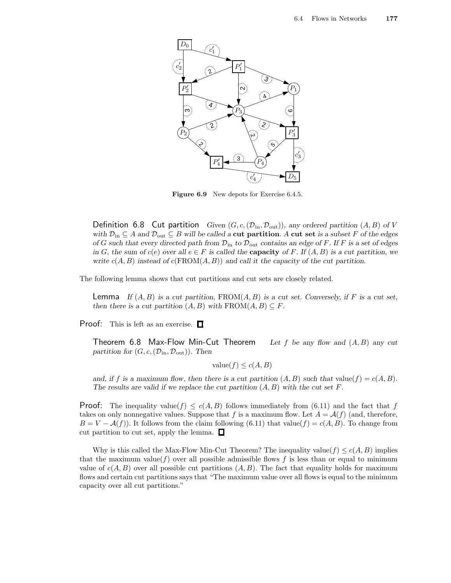

Figure 6.9 New depots for Exercise 6.4.5.

Definition 6.8 Cut partition Given  $(G, c, (D_{\text{in}}, D_{\text{out}}))$ , any ordered partition  $(A, B)$  of V with  $\mathcal{D}_{\text{in}} \subseteq A$  and  $\mathcal{D}_{\text{out}} \subseteq B$  will be called a **cut partition**. A **cut set** is a subset F of the edges of G such that every directed path from  $\mathcal{D}_{\text{in}}$  to  $\mathcal{D}_{\text{out}}$  contains an edge of F. If F is a set of edges in G, the sum of  $c(e)$  over all  $e \in F$  is called the **capacity** of F. If  $(A, B)$  is a cut partition, we write  $c(A, B)$  instead of  $c(FROM(A, B))$  and call it the capacity of the cut partition.

The following lemma shows that cut partitions and cut sets are closely related.

**Lemma** If  $(A, B)$  is a cut partition, FROM $(A, B)$  is a cut set. Conversely, if F is a cut set, then there is a cut partition  $(A, B)$  with  $FROM(A, B) \subseteq F$ .

**Proof:** This is left as an exercise.  $\Box$ 

Theorem 6.8 Max-Flow Min-Cut Theorem Let f be any flow and  $(A, B)$  any cut partition for  $(G, c,(\mathcal{D}_{\text{in}}, \mathcal{D}_{\text{out}}))$ . Then

 $value(f) \leq c(A, B)$ 

and, if f is a maximum flow, then there is a cut partition  $(A, B)$  such that value(f) =  $c(A, B)$ . The results are valid if we replace the cut partition  $(A, B)$  with the cut set F.

**Proof:** The inequality value( $f$ )  $\leq c(A, B)$  follows immediately from (6.11) and the fact that f takes on only nonnegative values. Suppose that f is a maximum flow. Let  $A = \mathcal{A}(f)$  (and, therefore,  $B = V - \mathcal{A}(f)$ . It follows from the claim following (6.11) that value(f) = c(A, B). To change from cut partition to cut set, apply the lemma.  $\Box$ 

Why is this called the Max-Flow Min-Cut Theorem? The inequality value( $f$ )  $\leq c(A, B)$  implies that the maximum value(f) over all possible admissible flows f is less than or equal to minimum value of  $c(A, B)$  over all possible cut partitions  $(A, B)$ . The fact that equality holds for maximum flows and certain cut partitions says that "The maximum value over all flows is equal to the minimum capacity over all cut partitions."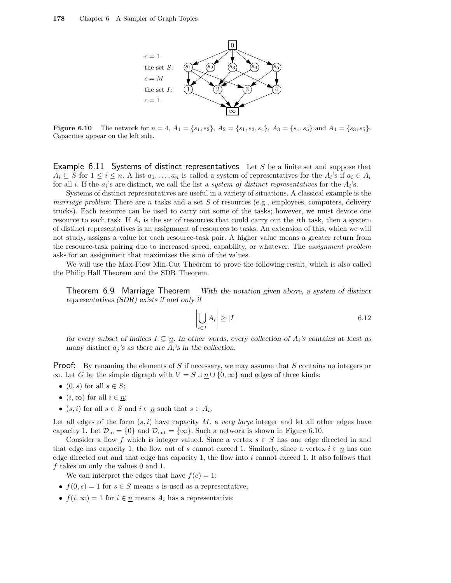

**Figure 6.10** The network for  $n = 4$ ,  $A_1 = \{s_1, s_2\}$ ,  $A_2 = \{s_1, s_3, s_4\}$ ,  $A_3 = \{s_1, s_5\}$  and  $A_4 = \{s_3, s_5\}$ . Capacities appear on the left side.

Example 6.11 Systems of distinct representatives Let  $S$  be a finite set and suppose that  $A_i \subseteq S$  for  $1 \leq i \leq n$ . A list  $a_1, \ldots, a_n$  is called a system of representatives for the  $A_i$ 's if  $a_i \in A_i$ for all *i*. If the  $a_i$ 's are distinct, we call the list a *system of distinct representatives* for the  $A_i$ 's.

Systems of distinct representatives are useful in a variety of situations. A classical example is the marriage problem: There are n tasks and a set  $S$  of resources (e.g., employees, computers, delivery trucks). Each resource can be used to carry out some of the tasks; however, we must devote one resource to each task. If  $A_i$  is the set of resources that could carry out the *i*th task, then a system of distinct representatives is an assignment of resources to tasks. An extension of this, which we will not study, assigns a value for each resource-task pair. A higher value means a greater return from the resource-task pairing due to increased speed, capability, or whatever. The assignment problem asks for an assignment that maximizes the sum of the values.

We will use the Max-Flow Min-Cut Theorem to prove the following result, which is also called the Philip Hall Theorem and the SDR Theorem.

Theorem 6.9 Marriage Theorem With the notation given above, a system of distinct representatives (SDR) exists if and only if

$$
\left| \bigcup_{i \in I} A_i \right| \ge |I| \tag{6.12}
$$

for every subset of indices  $I \subseteq \underline{n}$ . In other words, every collection of  $A_i$ 's contains at least as many distinct  $a_j$ 's as there are  $A_i$ 's in the collection.

Proof: By renaming the elements of S if necessary, we may assume that S contains no integers or  $\infty$ . Let G be the simple digraph with  $V = S \cup \underline{n} \cup \{0, \infty\}$  and edges of three kinds:

- $(0, s)$  for all  $s \in S$ ;
- $(i, \infty)$  for all  $i \in \underline{n}$ ;
- $(s, i)$  for all  $s \in S$  and  $i \in \underline{n}$  such that  $s \in A_i$ .

Let all edges of the form  $(s, i)$  have capacity M, a very large integer and let all other edges have capacity 1. Let  $\mathcal{D}_{in} = \{0\}$  and  $\mathcal{D}_{out} = \{\infty\}$ . Such a network is shown in Figure 6.10.

Consider a flow f which is integer valued. Since a vertex  $s \in S$  has one edge directed in and that edge has capacity 1, the flow out of s cannot exceed 1. Similarly, since a vertex  $i \in \underline{n}$  has one edge directed out and that edge has capacity 1, the flow into  $i$  cannot exceed 1. It also follows that f takes on only the values 0 and 1.

We can interpret the edges that have  $f(e) = 1$ :

- $f(0, s) = 1$  for  $s \in S$  means s is used as a representative;
- $f(i,\infty) = 1$  for  $i \in \underline{n}$  means  $A_i$  has a representative;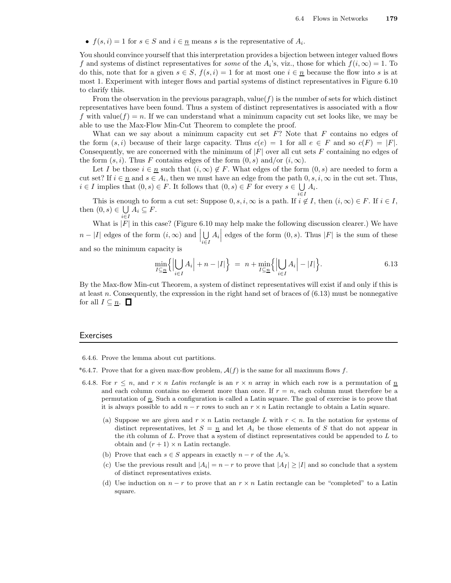•  $f(s, i) = 1$  for  $s \in S$  and  $i \in \underline{n}$  means s is the representative of  $A_i$ .

You should convince yourself that this interpretation provides a bijection between integer valued flows f and systems of distinct representatives for *some* of the  $A_i$ 's, viz., those for which  $f(i,\infty) = 1$ . To do this, note that for a given  $s \in S$ ,  $f(s, i) = 1$  for at most one  $i \in \underline{n}$  because the flow into s is at most 1. Experiment with integer flows and partial systems of distinct representatives in Figure 6.10 to clarify this.

From the observation in the previous paragraph, value  $(f)$  is the number of sets for which distinct representatives have been found. Thus a system of distinct representatives is associated with a flow f with value(f) = n. If we can understand what a minimum capacity cut set looks like, we may be able to use the Max-Flow Min-Cut Theorem to complete the proof.

What can we say about a minimum capacity cut set  $F$ ? Note that  $F$  contains no edges of the form  $(s, i)$  because of their large capacity. Thus  $c(e) = 1$  for all  $e \in F$  and so  $c(F) = |F|$ . Consequently, we are concerned with the minimum of  $|F|$  over all cut sets F containing no edges of the form  $(s, i)$ . Thus F contains edges of the form  $(0, s)$  and/or  $(i, \infty)$ .

Let I be those  $i \in \underline{n}$  such that  $(i, \infty) \notin F$ . What edges of the form  $(0, s)$  are needed to form a cut set? If  $i \in \underline{n}$  and  $s \in A_i$ , then we must have an edge from the path  $0, s, i, \infty$  in the cut set. Thus,  $i \in I$  implies that  $(0, s) \in F$ . It follows that  $(0, s) \in F$  for every  $s \in \bigcup_{i \in I} A_i$ .

i∈I This is enough to form a cut set: Suppose  $0, s, i, \infty$  is a path. If  $i \notin I$ , then  $(i, \infty) \in F$ . If  $i \in I$ , then  $(0, s) \in \bigcup_{i \in I} A_i \subseteq F$ . i∈I

What is  $|F|$  in this case? (Figure 6.10 may help make the following discussion clearer.) We have  $n - |I|$  edges of the form  $(i, \infty)$  and  $\Big|\bigcup_{i \in I}$  $\bigcup_{i\in I} A_i$  edges of the form  $(0, s)$ . Thus  $|F|$  is the sum of these and so the minimum capacity is

$$
\min_{I \subseteq \underline{n}} \left\{ \left| \bigcup_{i \in I} A_i \right| + n - |I| \right\} = n + \min_{I \subseteq \underline{n}} \left\{ \left| \bigcup_{i \in I} A_i \right| - |I| \right\}.
$$
6.13

By the Max-flow Min-cut Theorem, a system of distinct representatives will exist if and only if this is at least n. Consequently, the expression in the right hand set of braces of  $(6.13)$  must be nonnegative for all  $I \subseteq n$ .  $\Box$ 

#### **Exercises**

#### 6.4.6. Prove the lemma about cut partitions.

- \*6.4.7. Prove that for a given max-flow problem,  $\mathcal{A}(f)$  is the same for all maximum flows f.
- 6.4.8. For  $r \le n$ , and  $r \times n$  Latin rectangle is an  $r \times n$  array in which each row is a permutation of n and each column contains no element more than once. If  $r = n$ , each column must therefore be a permutation of  $\underline{n}$ . Such a configuration is called a Latin square. The goal of exercise is to prove that it is always possible to add  $n - r$  rows to such an  $r \times n$  Latin rectangle to obtain a Latin square.
	- (a) Suppose we are given and  $r \times n$  Latin rectangle L with  $r < n$ . In the notation for systems of distinct representatives, let  $S = n$  and let  $A_i$  be those elements of S that do not appear in the *i*th column of  $L$ . Prove that a system of distinct representatives could be appended to  $L$  to obtain and  $(r + 1) \times n$  Latin rectangle.
	- (b) Prove that each  $s \in S$  appears in exactly  $n r$  of the  $A_i$ 's.
	- (c) Use the previous result and  $|A_i| = n r$  to prove that  $|A_I| \geq |I|$  and so conclude that a system of distinct representatives exists.
	- (d) Use induction on  $n r$  to prove that an  $r \times n$  Latin rectangle can be "completed" to a Latin square.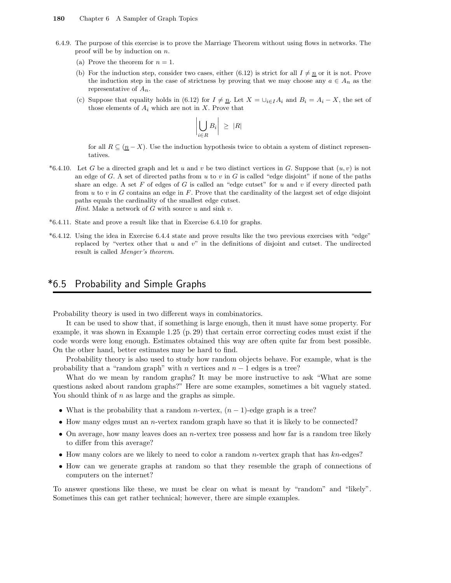- 6.4.9. The purpose of this exercise is to prove the Marriage Theorem without using flows in networks. The proof will be by induction on n.
	- (a) Prove the theorem for  $n = 1$ .
	- (b) For the induction step, consider two cases, either (6.12) is strict for all  $I \neq \underline{n}$  or it is not. Prove the induction step in the case of strictness by proving that we may choose any  $a \in A_n$  as the representative of  $A_n$ .
	- (c) Suppose that equality holds in (6.12) for  $I \neq \underline{n}$ . Let  $X = \bigcup_{i \in I} A_i$  and  $B_i = A_i X$ , the set of those elements of  $A_i$  which are not in X. Prove that

$$
\left|\bigcup_{i\in R}B_i\right| \geq |R|
$$

for all  $R \subseteq (n - X)$ . Use the induction hypothesis twice to obtain a system of distinct representatives.

- \*6.4.10. Let G be a directed graph and let u and v be two distinct vertices in G. Suppose that  $(u, v)$  is not an edge of G. A set of directed paths from  $u$  to  $v$  in G is called "edge disjoint" if none of the paths share an edge. A set F of edges of G is called an "edge cutset" for u and v if every directed path from  $u$  to  $v$  in  $G$  contains an edge in  $F$ . Prove that the cardinality of the largest set of edge disjoint paths equals the cardinality of the smallest edge cutset. *Hint.* Make a network of  $G$  with source  $u$  and sink  $v$ .
- \*6.4.11. State and prove a result like that in Exercise 6.4.10 for graphs.
- \*6.4.12. Using the idea in Exercise 6.4.4 state and prove results like the two previous exercises with "edge" replaced by "vertex other that  $u$  and  $v$ " in the definitions of disjoint and cutset. The undirected result is called Menger's theorem.

## \*6.5 Probability and Simple Graphs

Probability theory is used in two different ways in combinatorics.

It can be used to show that, if something is large enough, then it must have some property. For example, it was shown in Example 1.25 (p. 29) that certain error correcting codes must exist if the code words were long enough. Estimates obtained this way are often quite far from best possible. On the other hand, better estimates may be hard to find.

Probability theory is also used to study how random objects behave. For example, what is the probability that a "random graph" with n vertices and  $n - 1$  edges is a tree?

What do we mean by random graphs? It may be more instructive to ask "What are some questions asked about random graphs?" Here are some examples, sometimes a bit vaguely stated. You should think of  $n$  as large and the graphs as simple.

- What is the probability that a random *n*-vertex,  $(n-1)$ -edge graph is a tree?
- How many edges must an *n*-vertex random graph have so that it is likely to be connected?
- On average, how many leaves does an  $n$ -vertex tree possess and how far is a random tree likely to differ from this average?
- How many colors are we likely to need to color a random *n*-vertex graph that has  $kn$ -edges?
- How can we generate graphs at random so that they resemble the graph of connections of computers on the internet?

To answer questions like these, we must be clear on what is meant by "random" and "likely". Sometimes this can get rather technical; however, there are simple examples.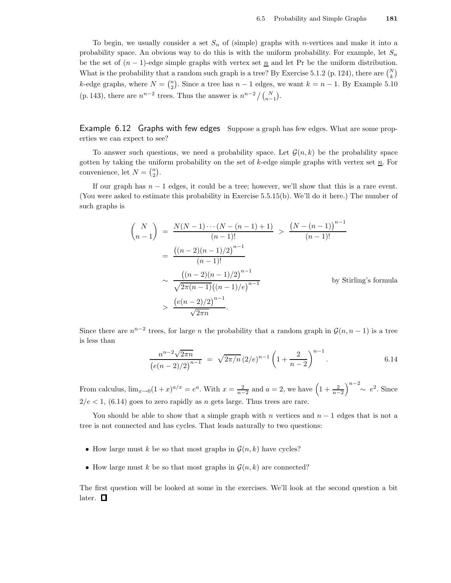To begin, we usually consider a set  $S_n$  of (simple) graphs with *n*-vertices and make it into a probability space. An obvious way to do this is with the uniform probability. For example, let  $S_n$ be the set of  $(n-1)$ -edge simple graphs with vertex set  $\underline{n}$  and let Pr be the uniform distribution. What is the probability that a random such graph is a tree? By Exercise 5.1.2 (p. 124), there are  $\binom{N}{k}$ k-edge graphs, where  $N = \binom{n}{2}$ . Since a tree has  $n-1$  edges, we want  $k = n-1$ . By Example 5.10 (p. 143), there are  $n^{n-2}$  trees. Thus the answer is  $n^{n-2} / {N \choose n-1}$ .

Example 6.12 Graphs with few edges Suppose a graph has few edges. What are some properties we can expect to see?

To answer such questions, we need a probability space. Let  $\mathcal{G}(n,k)$  be the probability space gotten by taking the uniform probability on the set of  $k$ -edge simple graphs with vertex set  $n$ . For convenience, let  $N = \binom{n}{2}$ .

If our graph has  $n - 1$  edges, it could be a tree; however, we'll show that this is a rare event. (You were asked to estimate this probability in Exercise 5.5.15(b). We'll do it here.) The number of such graphs is

$$
\binom{N}{n-1} = \frac{N(N-1)\cdots(N-(n-1)+1)}{(n-1)!} > \frac{\left(N-(n-1)\right)^{n-1}}{(n-1)!}
$$
\n
$$
= \frac{\left((n-2)(n-1)/2\right)^{n-1}}{(n-1)!}
$$
\n
$$
\sim \frac{\left((n-2)(n-1)/2\right)^{n-1}}{\sqrt{2\pi(n-1)}\left((n-1)/e\right)^{n-1}}
$$
\nby Stirling's formula\n
$$
> \frac{\left(e(n-2)/2\right)^{n-1}}{\sqrt{2\pi n}}.
$$

Since there are  $n^{n-2}$  trees, for large n the probability that a random graph in  $\mathcal{G}(n, n-1)$  is a tree is less than

$$
\frac{n^{n-2}\sqrt{2\pi n}}{\left(e(n-2)/2\right)^{n-1}} = \sqrt{2\pi/n} \left(2/e\right)^{n-1} \left(1 + \frac{2}{n-2}\right)^{n-1}.
$$
 6.14

From calculus,  $\lim_{x\to 0} (1+x)^{a/x} = e^a$ . With  $x = \frac{2}{n-2}$  and  $a = 2$ , we have  $\left(1 + \frac{2}{n-2}\right)^{n-2} \sim e^2$ . Since  $2/e < 1$ , (6.14) goes to zero rapidly as *n* gets large. Thus trees are rare.

You should be able to show that a simple graph with n vertices and  $n-1$  edges that is not a tree is not connected and has cycles. That leads naturally to two questions:

- How large must k be so that most graphs in  $\mathcal{G}(n, k)$  have cycles?
- How large must k be so that most graphs in  $\mathcal{G}(n, k)$  are connected?

The first question will be looked at some in the exercises. We'll look at the second question a bit later.  $\Box$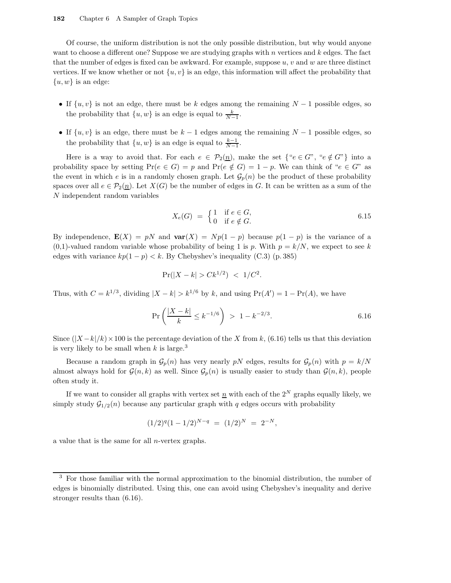Of course, the uniform distribution is not the only possible distribution, but why would anyone want to choose a different one? Suppose we are studying graphs with  $n$  vertices and  $k$  edges. The fact that the number of edges is fixed can be awkward. For example, suppose  $u, v$  and  $w$  are three distinct vertices. If we know whether or not  $\{u, v\}$  is an edge, this information will affect the probability that  $\{u, w\}$  is an edge:

- If  $\{u, v\}$  is not an edge, there must be k edges among the remaining  $N 1$  possible edges, so the probability that  $\{u, w\}$  is an edge is equal to  $\frac{k}{N-1}$ .
- If  $\{u, v\}$  is an edge, there must be  $k 1$  edges among the remaining  $N 1$  possible edges, so the probability that  $\{u, w\}$  is an edge is equal to  $\frac{k-1}{N-1}$ .

Here is a way to avoid that. For each  $e \in \mathcal{P}_2(\underline{n})$ , make the set  $\{``e \in G", ``e \notin G"\}$  into a probability space by setting  $Pr(e \in G) = p$  and  $Pr(e \notin G) = 1 - p$ . We can think of " $e \in G$ " as the event in which e is in a randomly chosen graph. Let  $\mathcal{G}_p(n)$  be the product of these probability spaces over all  $e \in \mathcal{P}_2(\underline{n})$ . Let  $X(G)$  be the number of edges in G. It can be written as a sum of the N independent random variables

$$
X_e(G) = \begin{cases} 1 & \text{if } e \in G, \\ 0 & \text{if } e \notin G. \end{cases}
$$
 6.15

By independence,  $E(X) = pN$  and  $var(X) = Np(1-p)$  because  $p(1-p)$  is the variance of a  $(0,1)$ -valued random variable whose probability of being 1 is p. With  $p = k/N$ , we expect to see k edges with variance  $kp(1-p) < k$ . By Chebyshev's inequality (C.3) (p. 385)

$$
\Pr(|X - k| > C k^{1/2}) < 1/C^2.
$$

Thus, with  $C = k^{1/3}$ , dividing  $|X - k| > k^{1/6}$  by k, and using  $Pr(A') = 1 - Pr(A)$ , we have

$$
\Pr\left(\frac{|X-k|}{k} \le k^{-1/6}\right) \ > \ 1 - k^{-2/3}.\tag{6.16}
$$

Since  $(|X-k|/k) \times 100$  is the percentage deviation of the X from k, (6.16) tells us that this deviation is very likely to be small when  $k$  is large.<sup>3</sup>

Because a random graph in  $\mathcal{G}_p(n)$  has very nearly pN edges, results for  $\mathcal{G}_p(n)$  with  $p = k/N$ almost always hold for  $\mathcal{G}(n, k)$  as well. Since  $\mathcal{G}_p(n)$  is usually easier to study than  $\mathcal{G}(n, k)$ , people often study it.

If we want to consider all graphs with vertex set  $\underline{n}$  with each of the  $2^N$  graphs equally likely, we simply study  $\mathcal{G}_{1/2}(n)$  because any particular graph with q edges occurs with probability

$$
(1/2)^q (1 - 1/2)^{N-q} = (1/2)^N = 2^{-N},
$$

a value that is the same for all  $n$ -vertex graphs.

<sup>3</sup> For those familiar with the normal approximation to the binomial distribution, the number of edges is binomially distributed. Using this, one can avoid using Chebyshev's inequality and derive stronger results than (6.16).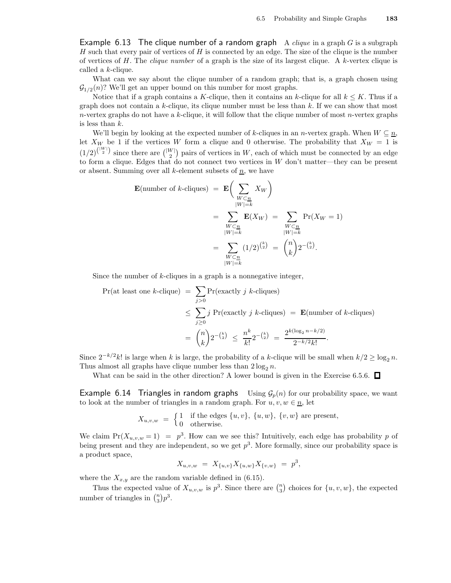Example 6.13 The clique number of a random graph A *clique* in a graph G is a subgraph  $H$  such that every pair of vertices of  $H$  is connected by an edge. The size of the clique is the number of vertices of H. The *clique number* of a graph is the size of its largest clique. A  $k$ -vertex clique is called a k-clique.

What can we say about the clique number of a random graph; that is, a graph chosen using  $\mathcal{G}_{1/2}(n)$ ? We'll get an upper bound on this number for most graphs.

Notice that if a graph contains a K-clique, then it contains an k-clique for all  $k \leq K$ . Thus if a graph does not contain a  $k$ -clique, its clique number must be less than  $k$ . If we can show that most  $n$ -vertex graphs do not have a k-clique, it will follow that the clique number of most  $n$ -vertex graphs is less than k.

We'll begin by looking at the expected number of k-cliques in an n-vertex graph. When  $W \subseteq \underline{n}$ , let  $X_W$  be 1 if the vertices W form a clique and 0 otherwise. The probability that  $X_W = 1$  is  $(1/2)^{\binom{|W|}{2}}$  since there are  $\binom{|W|}{2}$  pairs of vertices in W, each of which must be connected by an edge to form a clique. Edges that do not connect two vertices in W don't matter—they can be present or absent. Summing over all  $k$ -element subsets of  $n$ , we have

$$
\mathbf{E}(\text{number of } k\text{-cliques}) = \mathbf{E}\bigg(\sum_{\substack{W \subset n \\ |W| = k}} X_W\bigg)
$$
  
= 
$$
\sum_{\substack{W \subset n \\ |W| = k}} \mathbf{E}(X_W) = \sum_{\substack{W \subset n \\ |W| = k \\ |W| = k}} \Pr(X_W = 1)
$$
  
= 
$$
\sum_{\substack{W \subset n \\ |W| = k}} (1/2)^{\binom{k}{2}} = \binom{n}{k} 2^{-\binom{k}{2}}.
$$

Since the number of  $k$ -cliques in a graph is a nonnegative integer,

$$
\begin{aligned} \Pr(\text{at least one } k \text{-clique}) &= \sum_{j>0} \Pr(\text{exactly } j \ k \text{-cliques}) \\ &\leq \sum_{j\geq 0} j \Pr(\text{exactly } j \ k \text{-cliques}) = \mathbf{E}(\text{number of } k \text{-cliques}) \\ &= \binom{n}{k} 2^{-\binom{k}{2}} \leq \frac{n^k}{k!} 2^{-\binom{k}{2}} = \frac{2^{k(\log_2 n - k/2)}}{2^{-k/2} k!}. \end{aligned}
$$

Since  $2^{-k/2}k!$  is large when k is large, the probability of a k-clique will be small when  $k/2 \ge \log_2 n$ . Thus almost all graphs have clique number less than  $2 \log_2 n$ .

What can be said in the other direction? A lower bound is given in the Exercise 6.5.6.  $\Box$ 

Example 6.14 Triangles in random graphs Using  $G_p(n)$  for our probability space, we want to look at the number of triangles in a random graph. For  $u, v, w \in \underline{n}$ , let

$$
X_{u,v,w} = \begin{cases} 1 & \text{if the edges } \{u,v\}, \{u,w\}, \{v,w\} \text{ are present,} \\ 0 & \text{otherwise.} \end{cases}
$$

We claim  $Pr(X_{u,v,w} = 1) = p^3$ . How can we see this? Intuitively, each edge has probability p of being present and they are independent, so we get  $p^3$ . More formally, since our probability space is a product space,

$$
X_{u,v,w} = X_{\{u,v\}} X_{\{u,w\}} X_{\{v,w\}} = p^3,
$$

where the  $X_{x,y}$  are the random variable defined in (6.15).

Thus the expected value of  $X_{u,v,w}$  is  $p^3$ . Since there are  $\binom{n}{3}$  choices for  $\{u, v, w\}$ , the expected number of triangles in  $\binom{n}{3} p^3$ .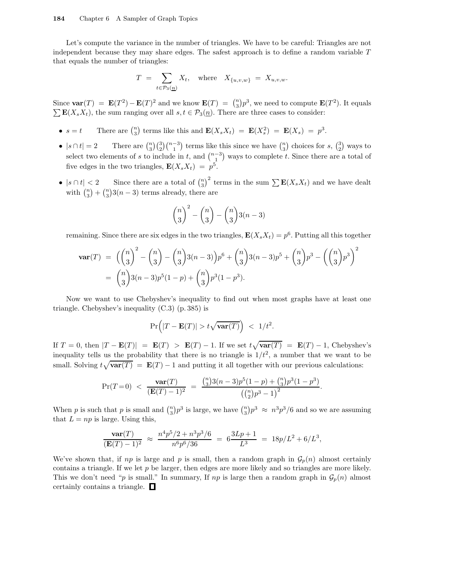Let's compute the variance in the number of triangles. We have to be careful: Triangles are not independent because they may share edges. The safest approach is to define a random variable T that equals the number of triangles:

$$
T = \sum_{t \in \mathcal{P}_3(\underline{n})} X_t, \quad \text{where} \quad X_{\{u,v,w\}} = X_{u,v,w}.
$$

Since  $\text{var}(T) = \mathbf{E}(T^2) - \mathbf{E}(T)^2$  and we know  $\mathbf{E}(T) = \binom{n}{3} p^3$ , we need to compute  $\mathbf{E}(T^2)$ . It equals  $\sum \mathbf{E}(X_s X_t)$ , the sum ranging over all  $s, t \in \mathcal{P}_3(\underline{n})$ . There are three cases to consider:

- $s = t$  There are  $\binom{n}{3}$  terms like this and  $\mathbf{E}(X_s X_t) = \mathbf{E}(X_s^2) = \mathbf{E}(X_s) = p^3$ .
- $|s \cap t| = 2$  There are  $\binom{n}{3}\binom{3}{2}\binom{n-3}{1}$  terms like this since we have  $\binom{n}{3}$  choices for s,  $\binom{3}{2}$  ways to select two elements of s to include in t, and  $\binom{n-3}{1}$  ways to complete t. Since there are a total of five edges in the two triangles,  $\mathbf{E}(X_s X_t) = p^5$ .
- $|s \cap t| < 2$  Since there are a total of  $\binom{n}{3}^2$  terms in the sum  $\sum \mathbf{E}(X_s X_t)$  and we have dealt with  $\binom{n}{3} + \binom{n}{3}3(n-3)$  terms already, there are

$$
\binom{n}{3}^2 - \binom{n}{3} - \binom{n}{3}3(n-3)
$$

remaining. Since there are six edges in the two triangles,  $\mathbf{E}(X_s X_t) = p^6$ . Putting all this together

$$
\mathbf{var}(T) = \left( \binom{n}{3}^2 - \binom{n}{3} - \binom{n}{3} 3(n-3) p^6 + \binom{n}{3} 3(n-3) p^5 + \binom{n}{3} p^3 - \left( \binom{n}{3} p^3 \right)^2
$$
  
=  $\binom{n}{3} 3(n-3) p^5 (1-p) + \binom{n}{3} p^3 (1-p^3).$ 

Now we want to use Chebyshev's inequality to find out when most graphs have at least one triangle. Chebyshev's inequality (C.3) (p. 385) is

$$
\Pr\Big(|T - \mathbf{E}(T)| > t\sqrt{\mathbf{var}(T)}\Big) < 1/t^2.
$$

If  $T = 0$ , then  $|T - \mathbf{E}(T)| = \mathbf{E}(T) > \mathbf{E}(T) - 1$ . If we set  $t\sqrt{\text{var}(T)} = \mathbf{E}(T) - 1$ , Chebyshev's inequality tells us the probability that there is no triangle is  $1/t^2$ , a number that we want to be small. Solving  $t\sqrt{\text{var}(T)} = \mathbf{E}(T) - 1$  and putting it all together with our previous calculations:

$$
\Pr(T=0) < \frac{\text{var}(T)}{(\mathbf{E}(T)-1)^2} = \frac{\binom{n}{3}3(n-3)p^5(1-p) + \binom{n}{3}p^3(1-p^3)}{\left(\binom{n}{2}p^3-1\right)^2}.
$$

When p is such that p is small and  $\binom{n}{3} p^3$  is large, we have  $\binom{n}{3} p^3 \approx n^3 p^3/6$  and so we are assuming that  $L = np$  is large. Using this,

$$
\frac{\mathbf{var}(T)}{(\mathbf{E}(T)-1)^2} \approx \frac{n^4p^5/2 + n^3p^3/6}{n^6p^6/36} = 6\frac{3Lp+1}{L^3} = 18p/L^2 + 6/L^3,
$$

We've shown that, if np is large and p is small, then a random graph in  $\mathcal{G}_p(n)$  almost certainly contains a triangle. If we let p be larger, then edges are more likely and so triangles are more likely. This we don't need "p is small." In summary, If np is large then a random graph in  $\mathcal{G}_p(n)$  almost certainly contains a triangle.  $\Box$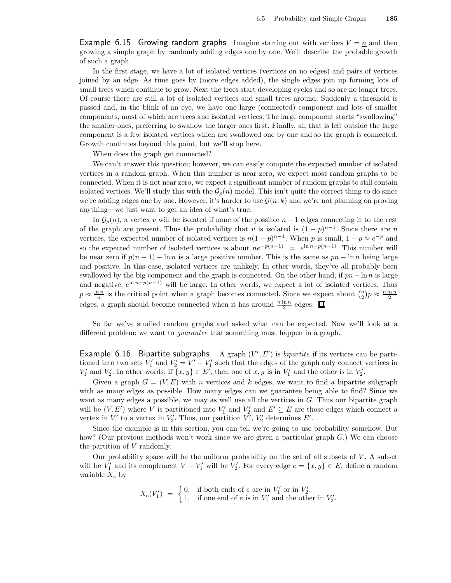Example 6.15 Growing random graphs Imagine starting out with vertices  $V = n$  and then growing a simple graph by randomly adding edges one by one. We'll describe the probable growth of such a graph.

In the first stage, we have a lot of isolated vertices (vertices on no edges) and pairs of vertices joined by an edge. As time goes by (more edges added), the single edges join up forming lots of small trees which continue to grow. Next the trees start developing cycles and so are no longer trees. Of course there are still a lot of isolated vertices and small trees around. Suddenly a threshold is passed and, in the blink of an eye, we have one large (connected) component and lots of smaller components, most of which are trees and isolated vertices. The large component starts "swallowing" the smaller ones, preferring to swallow the larger ones first. Finally, all that is left outside the large component is a few isolated vertices which are swallowed one by one and so the graph is connected. Growth continues beyond this point, but we'll stop here.

When does the graph get connected?

We can't answer this question; however, we can easily compute the expected number of isolated vertices in a random graph. When this number is near zero, we expect most random graphs to be connected. When it is not near zero, we expect a significant number of random graphs to still contain isolated vertices. We'll study this with the  $\mathcal{G}_p(n)$  model. This isn't quite the correct thing to do since we're adding edges one by one. However, it's harder to use  $\mathcal{G}(n, k)$  and we're not planning on proving anything—we just want to get an idea of what's true.

In  $\mathcal{G}_n(n)$ , a vertex v will be isolated if none of the possible  $n-1$  edges connecting it to the rest of the graph are present. Thus the probability that v is isolated is  $(1-p)^{n-1}$ . Since there are n vertices, the expected number of isolated vertices is  $n(1-p)^{n-1}$ . When p is small,  $1-p \approx e^{-p}$  and so the expected number of isolated vertices is about  $ne^{-p(n-1)} = e^{\ln n - p(n-1)}$ . This number will be near zero if  $p(n-1) - \ln n$  is a large positive number. This is the same as  $pn - \ln n$  being large and positive. In this case, isolated vertices are unlikely. In other words, they've all probably been swallowed by the big component and the graph is connected. On the other hand, if  $pn - \ln n$  is large and negative,  $e^{\ln n-p(n-1)}$  will be large. In other words, we expect a lot of isolated vertices. Thus  $p \approx \frac{\ln n}{n}$  is the critical point when a graph becomes connected. Since we expect about  $\binom{n}{2} p \approx \frac{n \ln n}{2}$ edges, a graph should become connected when it has around  $\frac{n \ln n}{2}$  edges.

So far we've studied random graphs and asked what can be expected. Now we'll look at a different problem: we want to *guarantee* that something must happen in a graph.

Example 6.16 Bipartite subgraphs A graph  $(V', E')$  is *bipartite* if its vertices can be partitioned into two sets  $V'_1$  and  $V'_2 = V' - V'_1$  such that the edges of the graph only connect vertices in  $V'_1$  and  $V'_2$ . In other words, if  $\{x, y\} \in E'$ , then one of  $x, y$  is in  $V'_1$  and the other is in  $V'_2$ .

Given a graph  $G = (V, E)$  with n vertices and k edges, we want to find a bipartite subgraph with as many edges as possible. How many edges can we guarantee being able to find? Since we want as many edges a possible, we may as well use all the vertices in G. Thus our bipartite graph will be  $(V, E')$  where V is partitioned into  $V'_1$  and  $V'_2$  and  $E' \subseteq E$  are those edges which connect a vertex in  $V'_1$  to a vertex in  $V'_2$ . Thus, our partition  $V'_1$ ,  $V'_2$  determines E'.

Since the example is in this section, you can tell we're going to use probability somehow. But how? (Our previous methods won't work since we are given a particular graph G.) We can choose the partition of V randomly.

Our probability space will be the uniform probability on the set of all subsets of  $V$ . A subset will be  $V'_1$  and its complement  $V - V'_1$  will be  $V'_2$ . For every edge  $e = \{x, y\} \in E$ , define a random variable  $X_e$  by

$$
X_e(V_1') = \begin{cases} 0, & \text{if both ends of } e \text{ are in } V_1' \text{ or in } V_2', \\ 1, & \text{if one end of } e \text{ is in } V_1' \text{ and the other in } V_2'. \end{cases}
$$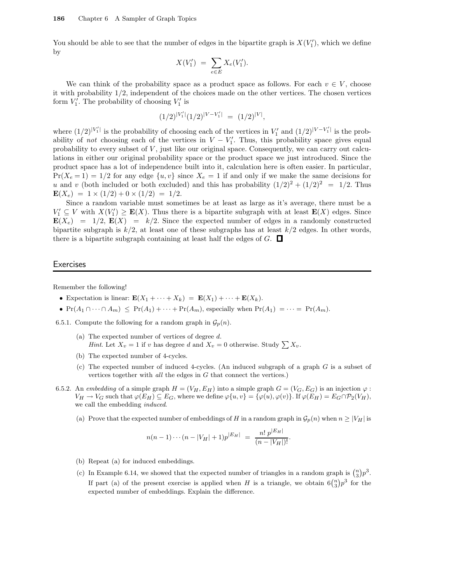You should be able to see that the number of edges in the bipartite graph is  $X(V_1')$ , which we define by

$$
X(V_1') = \sum_{e \in E} X_e(V_1').
$$

We can think of the probability space as a product space as follows. For each  $v \in V$ , choose it with probability 1/2, independent of the choices made on the other vertices. The chosen vertices form  $V'_1$ . The probability of choosing  $V'_1$  is

$$
(1/2)^{|V'_1|}(1/2)^{|V-V'_1|} = (1/2)^{|V|},
$$

where  $(1/2)^{|V_1|}$  is the probability of choosing each of the vertices in  $V_1'$  and  $(1/2)^{|V-V_1'|}$  is the probability of *not* choosing each of the vertices in  $V - V_1'$ . Thus, this probability space gives equal probability to every subset of  $V$ , just like our original space. Consequently, we can carry out calculations in either our original probability space or the product space we just introduced. Since the product space has a lot of independence built into it, calculation here is often easier. In particular,  $Pr(X_e = 1) = 1/2$  for any edge  $\{u, v\}$  since  $X_e = 1$  if and only if we make the same decisions for u and v (both included or both excluded) and this has probability  $(1/2)^2 + (1/2)^2 = 1/2$ . Thus  $\mathbf{E}(X_e) = 1 \times (1/2) + 0 \times (1/2) = 1/2.$ 

Since a random variable must sometimes be at least as large as it's average, there must be a  $V'_1 \subseteq V$  with  $X(V'_1) \geq \mathbf{E}(X)$ . Thus there is a bipartite subgraph with at least  $\mathbf{E}(X)$  edges. Since  $E(X_e) = 1/2$ ,  $E(X) = k/2$ . Since the expected number of edges in a randomly constructed bipartite subgraph is  $k/2$ , at least one of these subgraphs has at least  $k/2$  edges. In other words, there is a bipartite subgraph containing at least half the edges of  $G$ .  $\Box$ 

#### **Exercises**

Remember the following!

- Expectation is linear:  $\mathbf{E}(X_1 + \cdots + X_k) = \mathbf{E}(X_1) + \cdots + \mathbf{E}(X_k)$ .
- $Pr(A_1 \cap \cdots \cap A_m) \leq Pr(A_1) + \cdots + Pr(A_m)$ , especially when  $Pr(A_1) = \cdots = Pr(A_m)$ .

6.5.1. Compute the following for a random graph in  $\mathcal{G}_p(n)$ .

- (a) The expected number of vertices of degree d. *Hint.* Let  $X_v = 1$  if v has degree d and  $X_v = 0$  otherwise. Study  $\sum X_v$ .
- (b) The expected number of 4-cycles.
- (c) The expected number of induced 4-cycles. (An induced subgraph of a graph  $G$  is a subset of vertices together with all the edges in G that connect the vertices.)
- 6.5.2. An embedding of a simple graph  $H = (V_H, E_H)$  into a simple graph  $G = (V_G, E_G)$  is an injection  $\varphi$ :  $V_H \to V_G$  such that  $\varphi(E_H) \subseteq E_G$ , where we define  $\varphi\{u, v\} = {\varphi(u), \varphi(v)}$ . If  $\varphi(E_H) = E_G \cap \mathcal{P}_2(V_H)$ , we call the embedding induced.
	- (a) Prove that the expected number of embeddings of H in a random graph in  $\mathcal{G}_p(n)$  when  $n \geq |V_H|$  is

$$
n(n-1)\cdots(n-|V_H|+1)p^{|E_H|} = \frac{n! \ p^{|E_H|}}{(n-|V_H|)!}.
$$

- (b) Repeat (a) for induced embeddings.
- (c) In Example 6.14, we showed that the expected number of triangles in a random graph is  $\binom{n}{3} p^3$ . If part (a) of the present exercise is applied when H is a triangle, we obtain  $6\binom{n}{3}p^3$  for the expected number of embeddings. Explain the difference.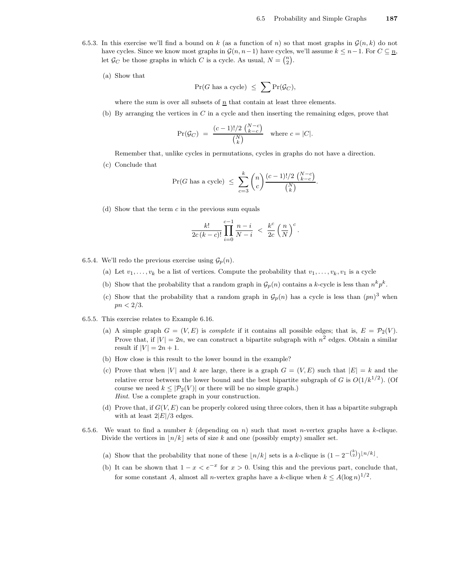- 6.5.3. In this exercise we'll find a bound on k (as a function of n) so that most graphs in  $\mathcal{G}(n,k)$  do not have cycles. Since we know most graphs in  $\mathcal{G}(n, n-1)$  have cycles, we'll assume  $k \leq n-1$ . For  $C \subseteq \underline{n}$ , let  $\mathcal{G}_C$  be those graphs in which C is a cycle. As usual,  $N = \binom{n}{2}$ .
	- (a) Show that

$$
\Pr(G \text{ has a cycle}) \leq \sum \Pr(\mathcal{G}_C),
$$

where the sum is over all subsets of  $\underline{n}$  that contain at least three elements.

(b) By arranging the vertices in C in a cycle and then inserting the remaining edges, prove that

$$
\Pr(\mathcal{G}_C) = \frac{(c-1)!/2 \binom{N-c}{k-c}}{\binom{N}{k}} \quad \text{where } c = |C|.
$$

Remember that, unlike cycles in permutations, cycles in graphs do not have a direction.

(c) Conclude that

$$
\Pr(G \text{ has a cycle}) \leq \sum_{c=3}^{k} {n \choose c} \frac{(c-1)!/2 \binom{N-c}{k-c}}{\binom{N}{k}}.
$$

(d) Show that the term  $c$  in the previous sum equals

$$
\frac{k!}{2c(k-c)!} \prod_{i=0}^{c-1} \frac{n-i}{N-i} < \frac{k^c}{2c} \left(\frac{n}{N}\right)^c.
$$

6.5.4. We'll redo the previous exercise using  $\mathcal{G}_p(n)$ .

- (a) Let  $v_1, \ldots, v_k$  be a list of vertices. Compute the probability that  $v_1, \ldots, v_k, v_1$  is a cycle
- (b) Show that the probability that a random graph in  $\mathcal{G}_p(n)$  contains a k-cycle is less than  $n^k p^k$ .
- (c) Show that the probability that a random graph in  $\mathcal{G}_p(n)$  has a cycle is less than  $(pn)^3$  when  $pn < 2/3$ .
- 6.5.5. This exercise relates to Example 6.16.
	- (a) A simple graph  $G = (V, E)$  is *complete* if it contains all possible edges; that is,  $E = \mathcal{P}_2(V)$ . Prove that, if  $|V| = 2n$ , we can construct a bipartite subgraph with  $n^2$  edges. Obtain a similar result if  $|V| = 2n + 1$ .
	- (b) How close is this result to the lower bound in the example?
	- (c) Prove that when |V| and k are large, there is a graph  $G = (V, E)$  such that  $|E| = k$  and the relative error between the lower bound and the best bipartite subgraph of G is  $O(1/k^{1/2})$ . (Of course we need  $k \leq |\mathcal{P}_2(V)|$  or there will be no simple graph.) Hint. Use a complete graph in your construction.
	- (d) Prove that, if  $G(V, E)$  can be properly colored using three colors, then it has a bipartite subgraph with at least  $2|E|/3$  edges.
- 6.5.6. We want to find a number k (depending on n) such that most n-vertex graphs have a k-clique. Divide the vertices in  $\lfloor n/k \rfloor$  sets of size k and one (possibly empty) smaller set.
	- (a) Show that the probability that none of these  $\lfloor n/k \rfloor$  sets is a k-clique is  $(1 2^{-{k \choose 2}})^{\lfloor n/k \rfloor}$ .
	- (b) It can be shown that  $1 x < e^{-x}$  for  $x > 0$ . Using this and the previous part, conclude that, for some constant A, almost all n-vertex graphs have a k-clique when  $k \leq A(\log n)^{1/2}$ .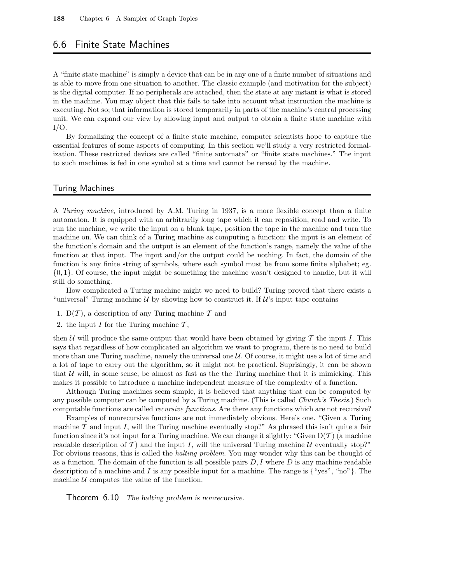## 6.6 Finite State Machines

A "finite state machine" is simply a device that can be in any one of a finite number of situations and is able to move from one situation to another. The classic example (and motivation for the subject) is the digital computer. If no peripherals are attached, then the state at any instant is what is stored in the machine. You may object that this fails to take into account what instruction the machine is executing. Not so; that information is stored temporarily in parts of the machine's central processing unit. We can expand our view by allowing input and output to obtain a finite state machine with  $I/O$ .

By formalizing the concept of a finite state machine, computer scientists hope to capture the essential features of some aspects of computing. In this section we'll study a very restricted formalization. These restricted devices are called "finite automata" or "finite state machines." The input to such machines is fed in one symbol at a time and cannot be reread by the machine.

#### Turing Machines

A Turing machine, introduced by A.M. Turing in 1937, is a more flexible concept than a finite automaton. It is equipped with an arbitrarily long tape which it can reposition, read and write. To run the machine, we write the input on a blank tape, position the tape in the machine and turn the machine on. We can think of a Turing machine as computing a function: the input is an element of the function's domain and the output is an element of the function's range, namely the value of the function at that input. The input and/or the output could be nothing. In fact, the domain of the function is any finite string of symbols, where each symbol must be from some finite alphabet; eg. {0, 1}. Of course, the input might be something the machine wasn't designed to handle, but it will still do something.

How complicated a Turing machine might we need to build? Turing proved that there exists a "universal" Turing machine U by showing how to construct it. If  $\mathcal{U}$ 's input tape contains

- 1.  $D(\mathcal{T})$ , a description of any Turing machine  $\mathcal T$  and
- 2. the input I for the Turing machine  $\mathcal{T}$ ,

then U will produce the same output that would have been obtained by giving T the input I. This says that regardless of how complicated an algorithm we want to program, there is no need to build more than one Turing machine, namely the universal one  $U$ . Of course, it might use a lot of time and a lot of tape to carry out the algorithm, so it might not be practical. Suprisingly, it can be shown that  $U$  will, in some sense, be almost as fast as the the Turing machine that it is mimicking. This makes it possible to introduce a machine independent measure of the complexity of a function.

Although Turing machines seem simple, it is believed that anything that can be computed by any possible computer can be computed by a Turing machine. (This is called Church's Thesis.) Such computable functions are called recursive functions. Are there any functions which are not recursive?

Examples of nonrecursive functions are not immediately obvious. Here's one. "Given a Turing machine  $\mathcal T$  and input I, will the Turing machine eventually stop?" As phrased this isn't quite a fair function since it's not input for a Turing machine. We can change it slightly: "Given  $D(\mathcal{T})$  (a machine readable description of  $\mathcal T$ ) and the input I, will the universal Turing machine U eventually stop?" For obvious reasons, this is called the halting problem. You may wonder why this can be thought of as a function. The domain of the function is all possible pairs  $D, I$  where  $D$  is any machine readable description of a machine and I is any possible input for a machine. The range is  $\{\text{``yes''}, \text{``no''}\}.$  The machine  $U$  computes the value of the function.

Theorem 6.10 The halting problem is nonrecursive.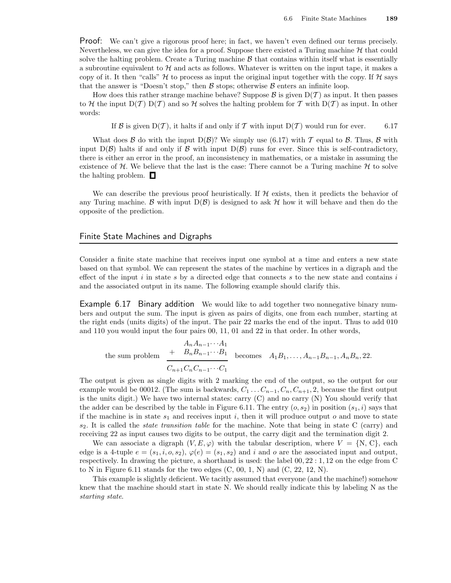Proof: We can't give a rigorous proof here; in fact, we haven't even defined our terms precisely. Nevertheless, we can give the idea for a proof. Suppose there existed a Turing machine  $H$  that could solve the halting problem. Create a Turing machine  $\beta$  that contains within itself what is essentially a subroutine equivalent to  $H$  and acts as follows. Whatever is written on the input tape, it makes a copy of it. It then "calls" H to process as input the original input together with the copy. If H says that the answer is "Doesn't stop," then  $\beta$  stops; otherwise  $\beta$  enters an infinite loop.

How does this rather strange machine behave? Suppose  $\mathcal B$  is given  $D(\mathcal T)$  as input. It then passes to H the input  $D(T) D(T)$  and so H solves the halting problem for T with  $D(T)$  as input. In other words:

If B is given  $D(\mathcal{T})$ , it halts if and only if T with input  $D(\mathcal{T})$  would run for ever. 6.17

What does  $\beta$  do with the input  $D(\beta)$ ? We simply use (6.17) with T equal to  $\beta$ . Thus,  $\beta$  with input  $D(\mathcal{B})$  halts if and only if  $\mathcal B$  with input  $D(\mathcal{B})$  runs for ever. Since this is self-contradictory, there is either an error in the proof, an inconsistency in mathematics, or a mistake in assuming the existence of H. We believe that the last is the case: There cannot be a Turing machine  $H$  to solve the halting problem.  $\Box$ 

We can describe the previous proof heuristically. If  $H$  exists, then it predicts the behavior of any Turing machine. B with input  $D(\mathcal{B})$  is designed to ask H how it will behave and then do the opposite of the prediction.

#### Finite State Machines and Digraphs

Consider a finite state machine that receives input one symbol at a time and enters a new state based on that symbol. We can represent the states of the machine by vertices in a digraph and the effect of the input i in state s by a directed edge that connects s to the new state and contains i and the associated output in its name. The following example should clarify this.

Example 6.17 Binary addition We would like to add together two nonnegative binary numbers and output the sum. The input is given as pairs of digits, one from each number, starting at the right ends (units digits) of the input. The pair 22 marks the end of the input. Thus to add 010 and 110 you would input the four pairs 00, 11, 01 and 22 in that order. In other words,

the sum problem 
$$
\frac{A_n A_{n-1} \cdots A_1}{C_{n+1} C_n C_{n-1} \cdots C_1}
$$
 becomes  $A_1 B_1, \ldots, A_{n-1} B_{n-1}, A_n B_n, 22.$ 

The output is given as single digits with 2 marking the end of the output, so the output for our example would be 00012. (The sum is backwards,  $C_1 \ldots C_{n-1}, C_n, C_{n+1}, 2$ , because the first output is the units digit.) We have two internal states: carry (C) and no carry (N) You should verify that the adder can be described by the table in Figure 6.11. The entry  $(o, s_2)$  in position  $(s_1, i)$  says that if the machine is in state  $s_1$  and receives input i, then it will produce output o and move to state  $s_2$ . It is called the *state transition table* for the machine. Note that being in state C (carry) and receiving 22 as input causes two digits to be output, the carry digit and the termination digit 2.

We can associate a digraph  $(V, E, \varphi)$  with the tabular description, where  $V = \{N, C\}$ , each edge is a 4-tuple  $e = (s_1, i, o, s_2), \varphi(e) = (s_1, s_2)$  and i and o are the associated input and output, respectively. In drawing the picture, a shorthand is used: the label 00, 22 : 1, 12 on the edge from C to N in Figure 6.11 stands for the two edges  $(C, 00, 1, N)$  and  $(C, 22, 12, N)$ .

This example is slightly deficient. We tacitly assumed that everyone (and the machine!) somehow knew that the machine should start in state N. We should really indicate this by labeling N as the starting state.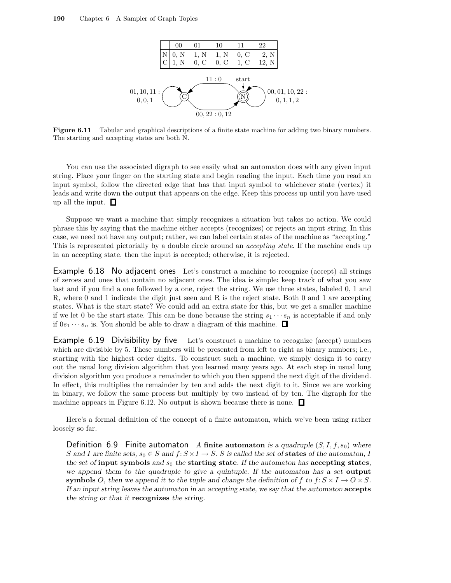

Figure 6.11 Tabular and graphical descriptions of a finite state machine for adding two binary numbers. The starting and accepting states are both N.

You can use the associated digraph to see easily what an automaton does with any given input string. Place your finger on the starting state and begin reading the input. Each time you read an input symbol, follow the directed edge that has that input symbol to whichever state (vertex) it leads and write down the output that appears on the edge. Keep this process up until you have used up all the input.  $\Box$ 

Suppose we want a machine that simply recognizes a situation but takes no action. We could phrase this by saying that the machine either accepts (recognizes) or rejects an input string. In this case, we need not have any output; rather, we can label certain states of the machine as "accepting." This is represented pictorially by a double circle around an *accepting state*. If the machine ends up in an accepting state, then the input is accepted; otherwise, it is rejected.

Example 6.18 No adjacent ones Let's construct a machine to recognize (accept) all strings of zeroes and ones that contain no adjacent ones. The idea is simple: keep track of what you saw last and if you find a one followed by a one, reject the string. We use three states, labeled 0, 1 and R, where 0 and 1 indicate the digit just seen and R is the reject state. Both 0 and 1 are accepting states. What is the start state? We could add an extra state for this, but we get a smaller machine if we let 0 be the start state. This can be done because the string  $s_1 \cdots s_n$  is acceptable if and only if  $0s_1 \cdots s_n$  is. You should be able to draw a diagram of this machine.  $\Box$ 

Example 6.19 Divisibility by five Let's construct a machine to recognize (accept) numbers which are divisible by 5. These numbers will be presented from left to right as binary numbers; i.e., starting with the highest order digits. To construct such a machine, we simply design it to carry out the usual long division algorithm that you learned many years ago. At each step in usual long division algorithm you produce a remainder to which you then append the next digit of the dividend. In effect, this multiplies the remainder by ten and adds the next digit to it. Since we are working in binary, we follow the same process but multiply by two instead of by ten. The digraph for the machine appears in Figure 6.12. No output is shown because there is none.  $\Box$ 

Here's a formal definition of the concept of a finite automaton, which we've been using rather loosely so far.

Definition 6.9 Finite automaton A finite automaton is a quadruple  $(S, I, f, s_0)$  where S and I are finite sets,  $s_0 \in S$  and  $f: S \times I \to S$ . S is called the set of **states** of the automaton, I the set of input symbols and  $s_0$  the starting state. If the automaton has accepting states, we append them to the quadruple to give a quintuple. If the automaton has a set **output** symbols O, then we append it to the tuple and change the definition of f to  $f: S \times I \to O \times S$ . If an input string leaves the automaton in an accepting state, we say that the automaton accepts the string or that it recognizes the string.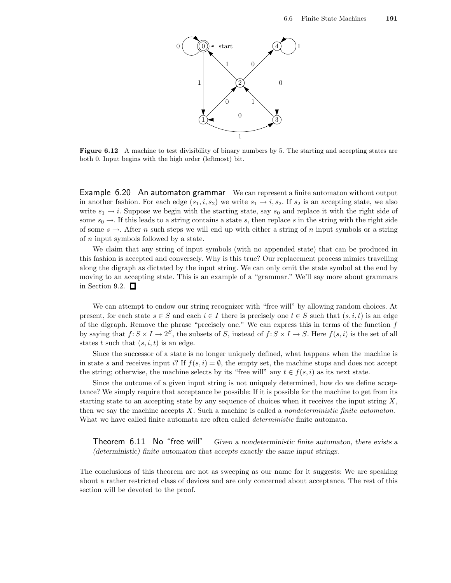

Figure 6.12 A machine to test divisibility of binary numbers by 5. The starting and accepting states are both 0. Input begins with the high order (leftmost) bit.

Example 6.20 An automaton grammar We can represent a finite automaton without output in another fashion. For each edge  $(s_1, i, s_2)$  we write  $s_1 \rightarrow i, s_2$ . If  $s_2$  is an accepting state, we also write  $s_1 \rightarrow i$ . Suppose we begin with the starting state, say  $s_0$  and replace it with the right side of some  $s_0 \rightarrow$ . If this leads to a string contains a state s, then replace s in the string with the right side of some  $s \rightarrow$ . After *n* such steps we will end up with either a string of *n* input symbols or a string of n input symbols followed by a state.

We claim that any string of input symbols (with no appended state) that can be produced in this fashion is accepted and conversely. Why is this true? Our replacement process mimics travelling along the digraph as dictated by the input string. We can only omit the state symbol at the end by moving to an accepting state. This is an example of a "grammar." We'll say more about grammars in Section 9.2.  $\Box$ 

We can attempt to endow our string recognizer with "free will" by allowing random choices. At present, for each state  $s \in S$  and each  $i \in I$  there is precisely one  $t \in S$  such that  $(s, i, t)$  is an edge of the digraph. Remove the phrase "precisely one." We can express this in terms of the function  $f$ by saying that  $f: S \times I \to 2^S$ , the subsets of S, instead of  $f: S \times I \to S$ . Here  $f(s, i)$  is the set of all states t such that  $(s, i, t)$  is an edge.

Since the successor of a state is no longer uniquely defined, what happens when the machine is in state s and receives input i? If  $f(s, i) = \emptyset$ , the empty set, the machine stops and does not accept the string; otherwise, the machine selects by its "free will" any  $t \in f(s, i)$  as its next state.

Since the outcome of a given input string is not uniquely determined, how do we define acceptance? We simply require that acceptance be possible: If it is possible for the machine to get from its starting state to an accepting state by any sequence of choices when it receives the input string  $X$ , then we say the machine accepts  $X$ . Such a machine is called a *nondeterministic finite automaton*. What we have called finite automata are often called *deterministic* finite automata.

Theorem 6.11 No "free will" Given a nondeterministic finite automaton, there exists a (deterministic) finite automaton that accepts exactly the same input strings.

The conclusions of this theorem are not as sweeping as our name for it suggests: We are speaking about a rather restricted class of devices and are only concerned about acceptance. The rest of this section will be devoted to the proof.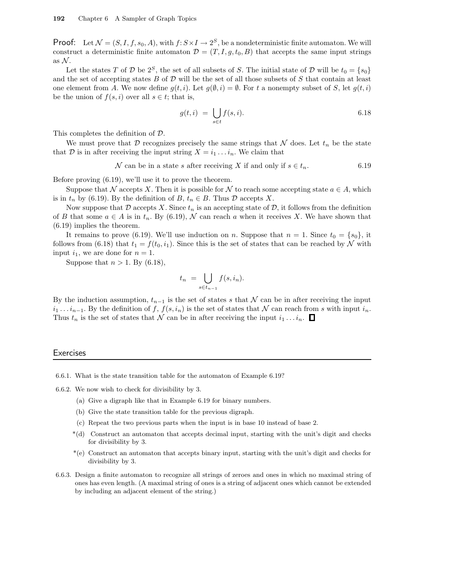**Proof:** Let  $\mathcal{N} = (S, I, f, s_0, A)$ , with  $f: S \times I \to 2^S$ , be a nondeterministic finite automaton. We will construct a deterministic finite automaton  $\mathcal{D} = (T, I, g, t_0, B)$  that accepts the same input strings as  $N$ .

Let the states T of D be  $2^S$ , the set of all subsets of S. The initial state of D will be  $t_0 = \{s_0\}$ and the set of accepting states B of  $\mathcal D$  will be the set of all those subsets of S that contain at least one element from A. We now define  $g(t, i)$ . Let  $g(\emptyset, i) = \emptyset$ . For t a nonempty subset of S, let  $g(t, i)$ be the union of  $f(s, i)$  over all  $s \in t$ ; that is,

$$
g(t,i) = \bigcup_{s \in t} f(s,i). \tag{6.18}
$$

This completes the definition of D.

We must prove that D recognizes precisely the same strings that N does. Let  $t_n$  be the state that D is in after receiving the input string  $X = i_1 \dots i_n$ . We claim that

N can be in a state s after receiving X if and only if  $s \in t_n$ . 6.19

Before proving (6.19), we'll use it to prove the theorem.

Suppose that N accepts X. Then it is possible for N to reach some accepting state  $a \in A$ , which is in  $t_n$  by (6.19). By the definition of B,  $t_n \in B$ . Thus  $D$  accepts X.

Now suppose that D accepts X. Since  $t_n$  is an accepting state of D, it follows from the definition of B that some  $a \in A$  is in  $t_n$ . By (6.19), N can reach a when it receives X. We have shown that (6.19) implies the theorem.

It remains to prove (6.19). We'll use induction on n. Suppose that  $n = 1$ . Since  $t_0 = \{s_0\}$ , it follows from (6.18) that  $t_1 = f(t_0, i_1)$ . Since this is the set of states that can be reached by N with input  $i_1$ , we are done for  $n = 1$ .

Suppose that  $n > 1$ . By (6.18),

$$
t_n = \bigcup_{s \in t_{n-1}} f(s, i_n).
$$

By the induction assumption,  $t_{n-1}$  is the set of states s that N can be in after receiving the input  $i_1 \ldots i_{n-1}$ . By the definition of f,  $f(s, i_n)$  is the set of states that N can reach from s with input  $i_n$ . Thus  $t_n$  is the set of states that N can be in after receiving the input  $i_1 \ldots i_n$ .

#### **Exercises**

- 6.6.1. What is the state transition table for the automaton of Example 6.19?
- 6.6.2. We now wish to check for divisibility by 3.
	- (a) Give a digraph like that in Example 6.19 for binary numbers.
	- (b) Give the state transition table for the previous digraph.
	- (c) Repeat the two previous parts when the input is in base 10 instead of base 2.
	- \*(d) Construct an automaton that accepts decimal input, starting with the unit's digit and checks for divisibility by 3.
	- \*(e) Construct an automaton that accepts binary input, starting with the unit's digit and checks for divisibility by 3.
- 6.6.3. Design a finite automaton to recognize all strings of zeroes and ones in which no maximal string of ones has even length. (A maximal string of ones is a string of adjacent ones which cannot be extended by including an adjacent element of the string.)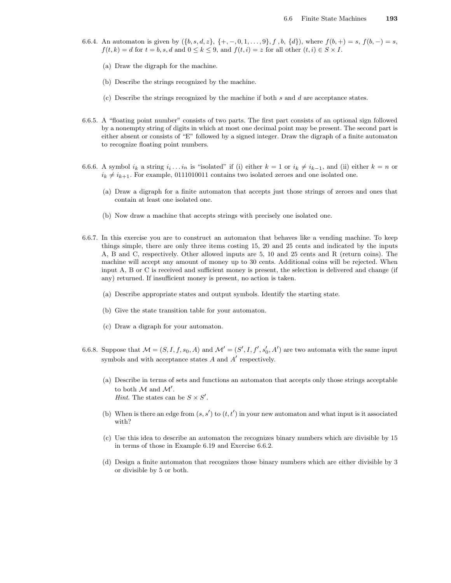- 6.6.4. An automaton is given by  $({b, s, d, z}, {+, -, 0, 1, ..., 9}, f, b, {d})$ , where  $f(b,+) = s, f(b,-) = s$ ,  $f(t, k) = d$  for  $t = b, s, d$  and  $0 \le k \le 9$ , and  $f(t, i) = z$  for all other  $(t, i) \in S \times I$ .
	- (a) Draw the digraph for the machine.
	- (b) Describe the strings recognized by the machine.
	- (c) Describe the strings recognized by the machine if both s and d are acceptance states.
- 6.6.5. A "floating point number" consists of two parts. The first part consists of an optional sign followed by a nonempty string of digits in which at most one decimal point may be present. The second part is either absent or consists of "E" followed by a signed integer. Draw the digraph of a finite automaton to recognize floating point numbers.
- 6.6.6. A symbol  $i_k$  a string  $i_i \nldots i_n$  is "isolated" if (i) either  $k = 1$  or  $i_k \neq i_{k-1}$ , and (ii) either  $k = n$  or  $i_k \neq i_{k+1}$ . For example, 0111010011 contains two isolated zeroes and one isolated one.
	- (a) Draw a digraph for a finite automaton that accepts just those strings of zeroes and ones that contain at least one isolated one.
	- (b) Now draw a machine that accepts strings with precisely one isolated one.
- 6.6.7. In this exercise you are to construct an automaton that behaves like a vending machine. To keep things simple, there are only three items costing 15, 20 and 25 cents and indicated by the inputs A, B and C, respectively. Other allowed inputs are 5, 10 and 25 cents and R (return coins). The machine will accept any amount of money up to 30 cents. Additional coins will be rejected. When input A, B or C is received and sufficient money is present, the selection is delivered and change (if any) returned. If insufficient money is present, no action is taken.
	- (a) Describe appropriate states and output symbols. Identify the starting state.
	- (b) Give the state transition table for your automaton.
	- (c) Draw a digraph for your automaton.
- 6.6.8. Suppose that  $\mathcal{M} = (S, I, f, s_0, A)$  and  $\mathcal{M}' = (S', I, f', s'_0, A')$  are two automata with the same input symbols and with acceptance states  $A$  and  $A'$  respectively.
	- (a) Describe in terms of sets and functions an automaton that accepts only those strings acceptable to both  $M$  and  $M'$ . *Hint*. The states can be  $S \times S'$ .
	- (b) When is there an edge from  $(s, s')$  to  $(t, t')$  in your new automaton and what input is it associated with?
	- (c) Use this idea to describe an automaton the recognizes binary numbers which are divisible by 15 in terms of those in Example 6.19 and Exercise 6.6.2.
	- (d) Design a finite automaton that recognizes those binary numbers which are either divisible by 3 or divisible by 5 or both.